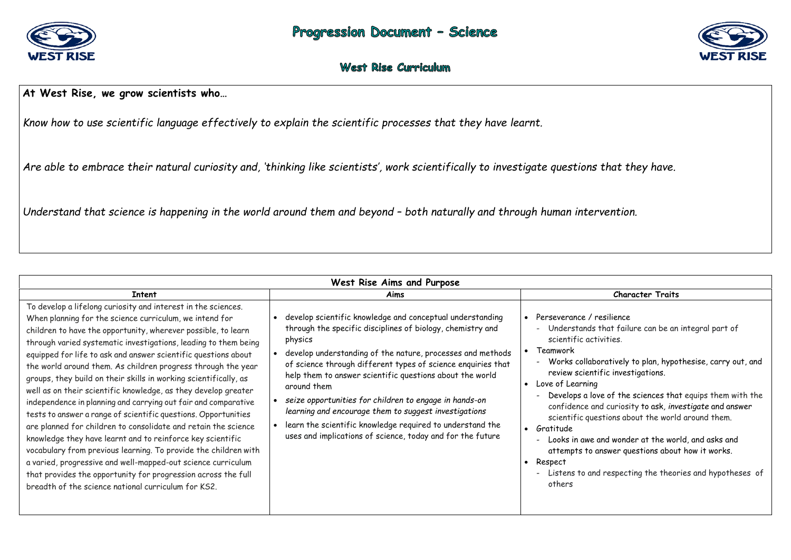

## **At West Rise, we grow scientists who…**

*Know how to use scientific language effectively to explain the scientific processes that they have learnt.* 

*Are able to embrace their natural curiosity and, 'thinking like scientists', work scientifically to investigate questions that they have.* 

*Understand that science is happening in the world around them and beyond – both naturally and through human intervention.* 

| West Rise Aims and Purpose                                                                                                                                                                                                                                                                                                                                                                                                                                                                                                                                                                                                                                                                                                                                                                                                                                                                                                                                                                                                                                          |                                                                                                                                                                                                                                                                                                                                                                                                                                                                                                                                                                                           |                                                                                                                                                                                                                                                                                                                                                                                                                                                                                                                                                        |  |  |
|---------------------------------------------------------------------------------------------------------------------------------------------------------------------------------------------------------------------------------------------------------------------------------------------------------------------------------------------------------------------------------------------------------------------------------------------------------------------------------------------------------------------------------------------------------------------------------------------------------------------------------------------------------------------------------------------------------------------------------------------------------------------------------------------------------------------------------------------------------------------------------------------------------------------------------------------------------------------------------------------------------------------------------------------------------------------|-------------------------------------------------------------------------------------------------------------------------------------------------------------------------------------------------------------------------------------------------------------------------------------------------------------------------------------------------------------------------------------------------------------------------------------------------------------------------------------------------------------------------------------------------------------------------------------------|--------------------------------------------------------------------------------------------------------------------------------------------------------------------------------------------------------------------------------------------------------------------------------------------------------------------------------------------------------------------------------------------------------------------------------------------------------------------------------------------------------------------------------------------------------|--|--|
| <b>Intent</b>                                                                                                                                                                                                                                                                                                                                                                                                                                                                                                                                                                                                                                                                                                                                                                                                                                                                                                                                                                                                                                                       | Aims                                                                                                                                                                                                                                                                                                                                                                                                                                                                                                                                                                                      | <b>Character Traits</b>                                                                                                                                                                                                                                                                                                                                                                                                                                                                                                                                |  |  |
| To develop a lifelong curiosity and interest in the sciences.<br>When planning for the science curriculum, we intend for<br>children to have the opportunity, wherever possible, to learn<br>through varied systematic investigations, leading to them being<br>equipped for life to ask and answer scientific questions about<br>the world around them. As children progress through the year<br>groups, they build on their skills in working scientifically, as<br>well as on their scientific knowledge, as they develop greater<br>independence in planning and carrying out fair and comparative<br>tests to answer a range of scientific questions. Opportunities<br>are planned for children to consolidate and retain the science<br>knowledge they have learnt and to reinforce key scientific<br>vocabulary from previous learning. To provide the children with<br>a varied, progressive and well-mapped-out science curriculum<br>that provides the opportunity for progression across the full<br>breadth of the science national curriculum for KS2. | develop scientific knowledge and conceptual understanding<br>through the specific disciplines of biology, chemistry and<br>physics<br>develop understanding of the nature, processes and methods<br>of science through different types of science enquiries that<br>help them to answer scientific questions about the world<br>around them<br>seize opportunities for children to engage in hands-on<br>learning and encourage them to suggest investigations<br>learn the scientific knowledge required to understand the<br>uses and implications of science, today and for the future | Perseverance / resilience<br>Understands that failure can be an<br>scientific activities.<br>Teamwork<br>$\bullet$<br>Works collaboratively to plan, hypot<br>$\blacksquare$<br>review scientific investigations.<br>Love of Learning<br>Develops a love of the sciences that<br>confidence and curiosity to ask, inve<br>scientific questions about the world<br>Gratitude<br>$\bullet$<br>Looks in awe and wonder at the worl<br>$\blacksquare$<br>attempts to answer questions about<br>Respect<br>- Listens to and respecting the theori<br>others |  |  |



that failure can be an integral part of vities.

ratively to plan, hypothesise, carry out, and fic investigations.

e of the sciences that equips them with the d curiosity to ask*, investigate* and answer stions about the world around them.

nd wonder at the world, and asks and nswer questions about how it works.

respecting the theories and hypotheses of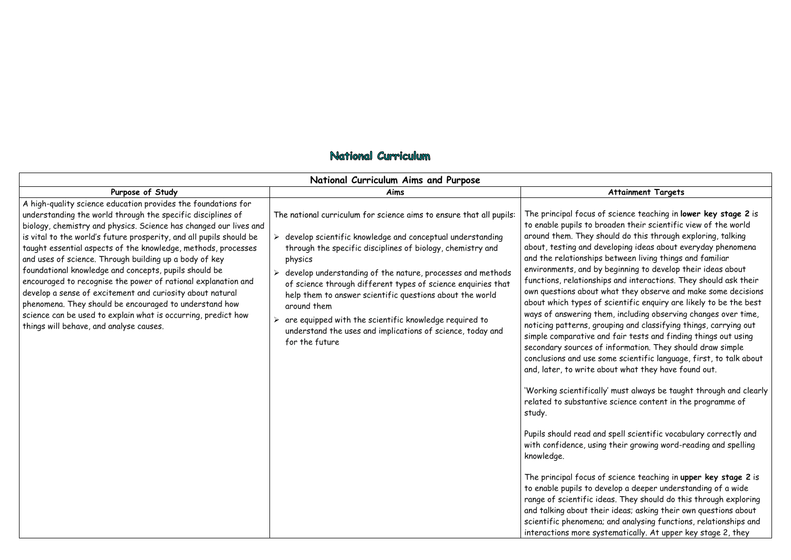|                                                                                                                                                                                                                                                                                                                                                                                                                                                                                                                                                                                                                                                                                                                                                                  | National Curriculum Aims and Purpose                                                                                                                                                                                                                                                                                                                                                                                                                                                                                                                         |                                                                                                                                                                                                                                                                                                                                                                                                                                                                                                                                                                                                       |  |
|------------------------------------------------------------------------------------------------------------------------------------------------------------------------------------------------------------------------------------------------------------------------------------------------------------------------------------------------------------------------------------------------------------------------------------------------------------------------------------------------------------------------------------------------------------------------------------------------------------------------------------------------------------------------------------------------------------------------------------------------------------------|--------------------------------------------------------------------------------------------------------------------------------------------------------------------------------------------------------------------------------------------------------------------------------------------------------------------------------------------------------------------------------------------------------------------------------------------------------------------------------------------------------------------------------------------------------------|-------------------------------------------------------------------------------------------------------------------------------------------------------------------------------------------------------------------------------------------------------------------------------------------------------------------------------------------------------------------------------------------------------------------------------------------------------------------------------------------------------------------------------------------------------------------------------------------------------|--|
| Purpose of Study                                                                                                                                                                                                                                                                                                                                                                                                                                                                                                                                                                                                                                                                                                                                                 | Aims                                                                                                                                                                                                                                                                                                                                                                                                                                                                                                                                                         |                                                                                                                                                                                                                                                                                                                                                                                                                                                                                                                                                                                                       |  |
| A high-quality science education provides the foundations for<br>understanding the world through the specific disciplines of<br>biology, chemistry and physics. Science has changed our lives and<br>is vital to the world's future prosperity, and all pupils should be<br>taught essential aspects of the knowledge, methods, processes<br>and uses of science. Through building up a body of key<br>foundational knowledge and concepts, pupils should be<br>encouraged to recognise the power of rational explanation and<br>develop a sense of excitement and curiosity about natural<br>phenomena. They should be encouraged to understand how<br>science can be used to explain what is occurring, predict how<br>things will behave, and analyse causes. | The national curriculum for science aims to ensure that all pupils:<br>develop scientific knowledge and conceptual understanding<br>through the specific disciplines of biology, chemistry and<br>physics<br>develop understanding of the nature, processes and methods<br>of science through different types of science enquiries that<br>help them to answer scientific questions about the world<br>around them<br>are equipped with the scientific knowledge required to<br>understand the uses and implications of science, today and<br>for the future | The principal focus<br>to enable pupils to<br>around them. They<br>about, testing and<br>and the relationshi<br>environments, and<br>functions, relations<br>own questions abou<br>about which types<br>ways of answering<br>noticing patterns,<br>simple comparative<br>secondary sources<br>conclusions and use<br>and, later, to write<br>'Working scientific<br>related to substant<br>study.<br>Pupils should read<br>with confidence, us<br>knowledge.<br>The principal focus<br>to enable pupils to<br>range of scientific<br>and talking about t<br>scientific phenome<br>interactions more : |  |

## National Curriculum

### **Attainment Targets**

of science teaching in **lower key stage 2** is broaden their scientific view of the world should do this through exploring, talking developing ideas about everyday phenomena ips between living things and familiar by beginning to develop their ideas about ships and interactions. They should ask their ut what they observe and make some decisions of scientific enquiry are likely to be the best them, including observing changes over time, grouping and classifying things, carrying out and fair tests and finding things out using of information. They should draw simple e some scientific language, first, to talk about about what they have found out.

cally' must always be taught through and clearly itive science content in the programme of

and spell scientific vocabulary correctly and sing their growing word-reading and spelling

of science teaching in **upper key stage 2** is develop a deeper understanding of a wide  $\alpha$  ideas. They should do this through exploring their ideas; asking their own questions about ena; and analysing functions, relationships and systematically. At upper key stage 2, they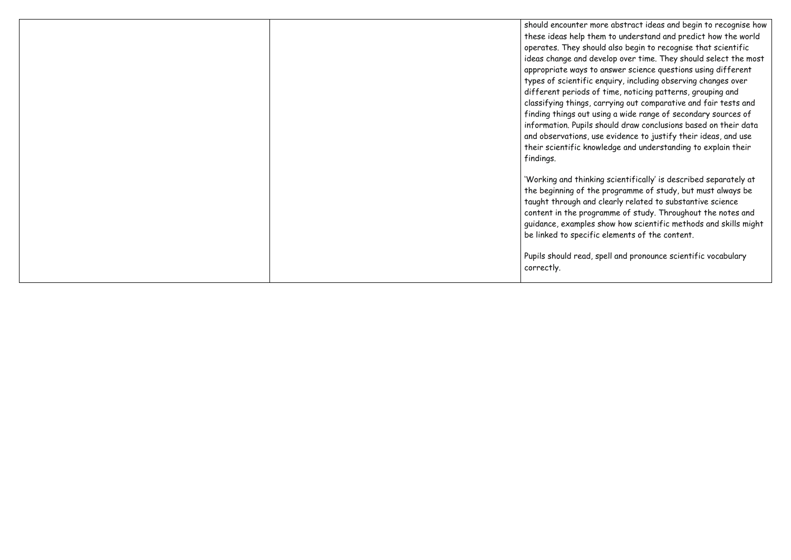| should encounter mo    |  |
|------------------------|--|
| these ideas help the   |  |
| operates. They shou    |  |
| ideas change and de    |  |
| appropriate ways to    |  |
| types of scientific e  |  |
| different periods of   |  |
| classifying things, co |  |
| finding things out us  |  |
| information. Pupils s  |  |
| and observations, us   |  |
| their scientific know  |  |
| findings.              |  |
| 'Working and thinkir   |  |
| the beginning of the   |  |
| taught through and     |  |
| content in the progr   |  |
| guidance, examples :   |  |
| be linked to specific  |  |
|                        |  |
| Pupils should read, s  |  |
| correctly.             |  |
|                        |  |

ore abstract ideas and begin to recognise how em to understand and predict how the world uld also begin to recognise that scientific evelop over time. They should select the most  $\alpha$  answer science questions using different enquiry, including observing changes over  $\frac{d}{dt}$  time, noticing patterns, grouping and carrying out comparative and fair tests and sing a wide range of secondary sources of should draw conclusions based on their data se evidence to justify their ideas, and use wledge and understanding to explain their

ng scientifically' is described separately at  $\epsilon$  programme of study, but must always be clearly related to substantive science ramme of study. Throughout the notes and show how scientific methods and skills might elements of the content.

spell and pronounce scientific vocabulary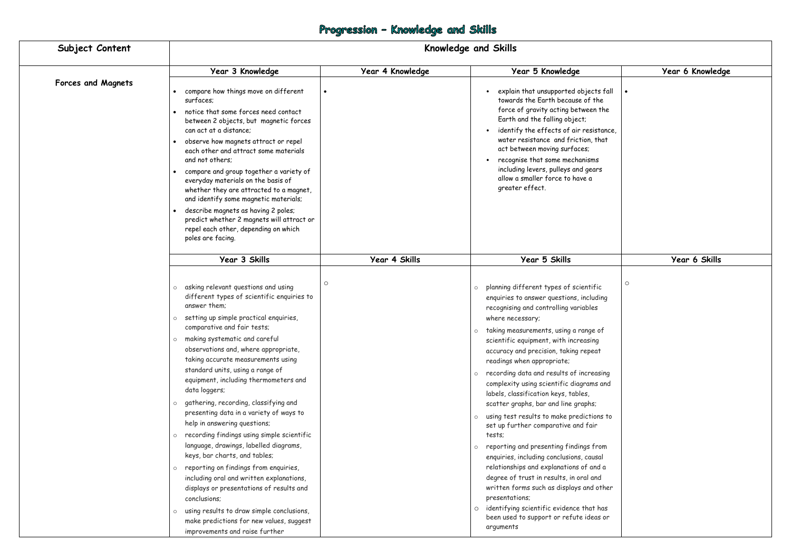# Progression - Knowledge and Skills

| Subject Content           | <b>Knowledge and Skills</b>                                                                                                                                                                                                                                                                                                                                                                                                                                                                                                                                                                                                                                                                                                                                                                                                                                                                                                                                                          |                  |                                                                                                                                                                                                                                                                                                                                                                                                                                                                                                                                                                                                                                                                                                                                                                                                                                                                                                                                                                  |                  |
|---------------------------|--------------------------------------------------------------------------------------------------------------------------------------------------------------------------------------------------------------------------------------------------------------------------------------------------------------------------------------------------------------------------------------------------------------------------------------------------------------------------------------------------------------------------------------------------------------------------------------------------------------------------------------------------------------------------------------------------------------------------------------------------------------------------------------------------------------------------------------------------------------------------------------------------------------------------------------------------------------------------------------|------------------|------------------------------------------------------------------------------------------------------------------------------------------------------------------------------------------------------------------------------------------------------------------------------------------------------------------------------------------------------------------------------------------------------------------------------------------------------------------------------------------------------------------------------------------------------------------------------------------------------------------------------------------------------------------------------------------------------------------------------------------------------------------------------------------------------------------------------------------------------------------------------------------------------------------------------------------------------------------|------------------|
|                           | Year 3 Knowledge                                                                                                                                                                                                                                                                                                                                                                                                                                                                                                                                                                                                                                                                                                                                                                                                                                                                                                                                                                     | Year 4 Knowledge | Year 5 Knowledge                                                                                                                                                                                                                                                                                                                                                                                                                                                                                                                                                                                                                                                                                                                                                                                                                                                                                                                                                 | Year 6 Knowledge |
| <b>Forces and Magnets</b> | compare how things move on different<br>surfaces;<br>notice that some forces need contact<br>between 2 objects, but magnetic forces<br>can act at a distance:<br>observe how magnets attract or repel<br>each other and attract some materials<br>and not others;<br>compare and group together a variety of<br>everyday materials on the basis of<br>whether they are attracted to a magnet,<br>and identify some magnetic materials;<br>describe magnets as having 2 poles;<br>predict whether 2 magnets will attract or<br>repel each other, depending on which<br>poles are facing.                                                                                                                                                                                                                                                                                                                                                                                              |                  | explain that unsupported objects fall<br>towards the Earth because of the<br>force of gravity acting between the<br>Earth and the falling object;<br>identify the effects of air resistance,<br>water resistance and friction, that<br>act between moving surfaces;<br>recognise that some mechanisms<br>including levers, pulleys and gears<br>allow a smaller force to have a<br>greater effect.                                                                                                                                                                                                                                                                                                                                                                                                                                                                                                                                                               |                  |
|                           | Year 3 Skills                                                                                                                                                                                                                                                                                                                                                                                                                                                                                                                                                                                                                                                                                                                                                                                                                                                                                                                                                                        | Year 4 Skills    | Year 5 Skills                                                                                                                                                                                                                                                                                                                                                                                                                                                                                                                                                                                                                                                                                                                                                                                                                                                                                                                                                    | Year 6 Skills    |
|                           | $\circ$<br>asking relevant questions and using<br>$\circ$<br>different types of scientific enquiries to<br>answer them:<br>setting up simple practical enquiries,<br>$\circ$<br>comparative and fair tests;<br>o making systematic and careful<br>observations and, where appropriate,<br>taking accurate measurements using<br>standard units, using a range of<br>equipment, including thermometers and<br>data loggers;<br>gathering, recording, classifying and<br>presenting data in a variety of ways to<br>help in answering questions;<br>recording findings using simple scientific<br>$\circ$<br>language, drawings, labelled diagrams,<br>keys, bar charts, and tables;<br>reporting on findings from enquiries,<br>$\circ$<br>including oral and written explanations,<br>displays or presentations of results and<br>conclusions;<br>using results to draw simple conclusions,<br>$\circ$<br>make predictions for new values, suggest<br>improvements and raise further |                  | planning different types of scientific<br>$\circ$<br>enquiries to answer questions, including<br>recognising and controlling variables<br>where necessary;<br>o taking measurements, using a range of<br>scientific equipment, with increasing<br>accuracy and precision, taking repeat<br>readings when appropriate;<br>o recording data and results of increasing<br>complexity using scientific diagrams and<br>labels, classification keys, tables,<br>scatter graphs, bar and line graphs;<br>using test results to make predictions to<br>$\circ$<br>set up further comparative and fair<br>tests;<br>$\circ$ reporting and presenting findings from<br>enquiries, including conclusions, causal<br>relationships and explanations of and a<br>degree of trust in results, in oral and<br>written forms such as displays and other<br>presentations;<br>o identifying scientific evidence that has<br>been used to support or refute ideas or<br>arguments | O                |

|                                                                                                                           | Year 6 Knowledge |
|---------------------------------------------------------------------------------------------------------------------------|------------------|
| jects fall<br>of the<br>een the<br>esistance,<br>on, that<br>s;<br>iisms<br>gears<br>e a                                  |                  |
|                                                                                                                           | Year 6 Skills    |
| ntific<br><b>ncluding</b><br>ibles<br>nge of<br>asing<br>epeat<br>creasing<br>ams and<br>S,<br>phs;<br>ictions to<br>fair | $\circ$          |
| gs from<br>causal<br>f and a<br>al and<br>and other<br>hat has<br>ideas or                                                |                  |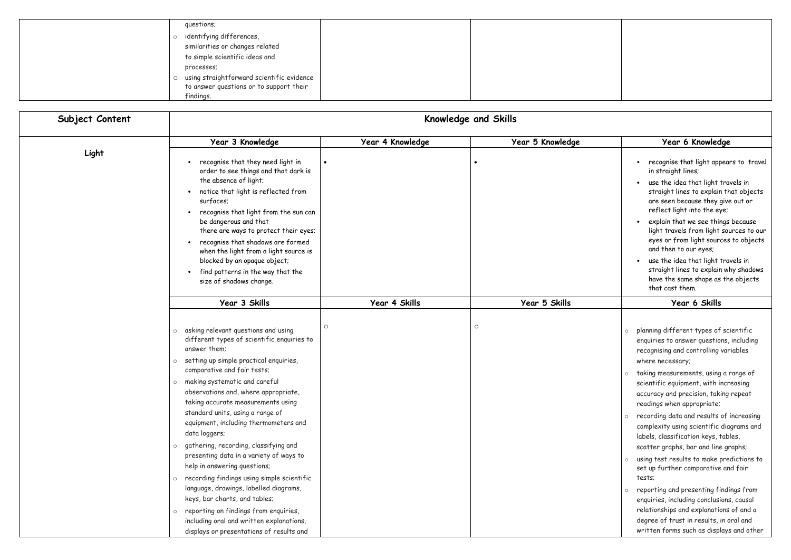| questions;                                |  |
|-------------------------------------------|--|
| identifying differences,                  |  |
| similarities or changes related           |  |
| to simple scientific ideas and            |  |
| processes;                                |  |
| using straightforward scientific evidence |  |
| to answer questions or to support their   |  |
| findings.                                 |  |

|                 | to simple scientific ideas and                                                       |                  |                      |                                                                                               |
|-----------------|--------------------------------------------------------------------------------------|------------------|----------------------|-----------------------------------------------------------------------------------------------|
|                 | processes;                                                                           |                  |                      |                                                                                               |
|                 | using straightforward scientific evidence<br>$\circ$                                 |                  |                      |                                                                                               |
|                 | to answer questions or to support their                                              |                  |                      |                                                                                               |
|                 | findings.                                                                            |                  |                      |                                                                                               |
|                 |                                                                                      |                  |                      |                                                                                               |
| Subject Content |                                                                                      |                  | Knowledge and Skills |                                                                                               |
|                 | Year 3 Knowledge                                                                     | Year 4 Knowledge | Year 5 Knowledge     | Year 6 Knowledge                                                                              |
| Light           |                                                                                      |                  |                      |                                                                                               |
|                 | • recognise that they need light in                                                  |                  |                      | recognise that light appears to travel                                                        |
|                 | order to see things and that dark is                                                 |                  |                      | in straight lines;                                                                            |
|                 | the absence of light;                                                                |                  |                      | use the idea that light travels in<br>$\bullet$                                               |
|                 | notice that light is reflected from                                                  |                  |                      | straight lines to explain that objects                                                        |
|                 | surfaces;                                                                            |                  |                      | are seen because they give out or                                                             |
|                 | • recognise that light from the sun can                                              |                  |                      | reflect light into the eye;                                                                   |
|                 | be dangerous and that                                                                |                  |                      | explain that we see things because                                                            |
|                 | there are ways to protect their eyes;                                                |                  |                      | light travels from light sources to our<br>eyes or from light sources to objects              |
|                 | • recognise that shadows are formed<br>when the light from a light source is         |                  |                      | and then to our eyes;                                                                         |
|                 | blocked by an opaque object;                                                         |                  |                      | use the idea that light travels in                                                            |
|                 | find patterns in the way that the<br>$\bullet$                                       |                  |                      | straight lines to explain why shadows                                                         |
|                 | size of shadows change.                                                              |                  |                      | have the same shape as the objects                                                            |
|                 |                                                                                      |                  |                      | that cast them.                                                                               |
|                 | Year 3 Skills                                                                        | Year 4 Skills    | Year 5 Skills        | Year 6 Skills                                                                                 |
|                 |                                                                                      |                  |                      |                                                                                               |
|                 | asking relevant questions and using                                                  | $\circ$          | $\circ$              |                                                                                               |
|                 | $\circ$<br>different types of scientific enquiries to                                |                  |                      | planning different types of scientific<br>$\circ$<br>enquiries to answer questions, including |
|                 | answer them;                                                                         |                  |                      | recognising and controlling variables                                                         |
|                 | setting up simple practical enquiries,<br>$\circ$                                    |                  |                      | where necessary;                                                                              |
|                 | comparative and fair tests;                                                          |                  |                      |                                                                                               |
|                 | making systematic and careful                                                        |                  |                      | taking measurements, using a range of<br>$\circ$                                              |
|                 | $\circ$<br>observations and, where appropriate,                                      |                  |                      | scientific equipment, with increasing                                                         |
|                 | taking accurate measurements using                                                   |                  |                      | accuracy and precision, taking repeat                                                         |
|                 | standard units, using a range of                                                     |                  |                      | readings when appropriate;                                                                    |
|                 | equipment, including thermometers and                                                |                  |                      | recording data and results of increasing<br>$\circ$                                           |
|                 | data loggers;                                                                        |                  |                      | complexity using scientific diagrams and                                                      |
|                 | gathering, recording, classifying and                                                |                  |                      | labels, classification keys, tables,                                                          |
|                 | presenting data in a variety of ways to                                              |                  |                      | scatter graphs, bar and line graphs;                                                          |
|                 | help in answering questions;                                                         |                  |                      | using test results to make predictions to<br>$\circ$                                          |
|                 |                                                                                      |                  |                      | set up further comparative and fair                                                           |
|                 | recording findings using simple scientific<br>$\circ$                                |                  |                      | tests;                                                                                        |
|                 | language, drawings, labelled diagrams,                                               |                  |                      | reporting and presenting findings from<br>$\circ$                                             |
|                 | keys, bar charts, and tables;                                                        |                  |                      | enquiries, including conclusions, causal                                                      |
|                 | reporting on findings from enquiries,<br>$\circ$                                     |                  |                      | relationships and explanations of and a                                                       |
|                 | including oral and written explanations,<br>displays or presentations of results and |                  |                      | degree of trust in results, in oral and<br>written forms such as displays and other           |
|                 |                                                                                      |                  |                      |                                                                                               |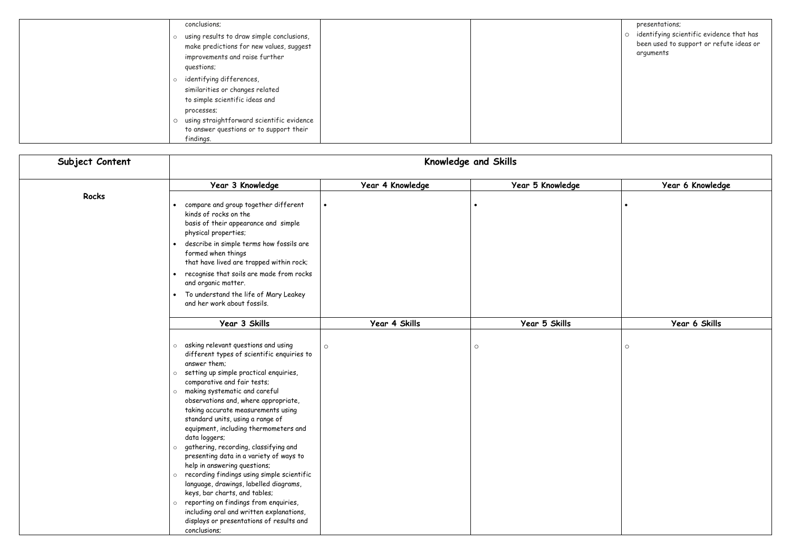| conclusions;                                         |
|------------------------------------------------------|
| using results to draw simple conclusions,<br>$\circ$ |
| make predictions for new values, suggest             |
| improvements and raise further                       |
| questions;                                           |
| identifying differences,<br>$\circ$                  |
| similarities or changes related                      |
| to simple scientific ideas and                       |
| processes;                                           |
| using straightforward scientific evidence            |
| to answer questions or to support their              |
| findings.                                            |

|         | presentations;                                                                                   |
|---------|--------------------------------------------------------------------------------------------------|
| $\circ$ | identifying scientific evidence that has<br>been used to support or refute ideas or<br>arguments |
|         |                                                                                                  |
|         |                                                                                                  |
|         |                                                                                                  |

| Year 6 Knowledge |
|------------------|
|                  |
|                  |
|                  |
|                  |
|                  |
|                  |
|                  |
|                  |
|                  |
| Year 6 Skills    |
|                  |
| $\circ$          |
|                  |
|                  |
|                  |
|                  |
|                  |
|                  |
|                  |
|                  |
|                  |
|                  |
|                  |
|                  |
|                  |

| Subject Content | Knowledge and Skills                                                                                                                                                                                                                                                                                                                                                                                                                                                                                                                                                                                                                                                                                                                                                                                                                                    |                  |                  |                  |
|-----------------|---------------------------------------------------------------------------------------------------------------------------------------------------------------------------------------------------------------------------------------------------------------------------------------------------------------------------------------------------------------------------------------------------------------------------------------------------------------------------------------------------------------------------------------------------------------------------------------------------------------------------------------------------------------------------------------------------------------------------------------------------------------------------------------------------------------------------------------------------------|------------------|------------------|------------------|
|                 | Year 3 Knowledge                                                                                                                                                                                                                                                                                                                                                                                                                                                                                                                                                                                                                                                                                                                                                                                                                                        | Year 4 Knowledge | Year 5 Knowledge | Year 6 Knowledge |
| Rocks           | compare and group together different<br>$\bullet$<br>kinds of rocks on the<br>basis of their appearance and simple<br>physical properties;<br>describe in simple terms how fossils are<br>$\bullet$<br>formed when things<br>that have lived are trapped within rock;<br>recognise that soils are made from rocks<br>$\bullet$<br>and organic matter.<br>To understand the life of Mary Leakey<br>$\bullet$<br>and her work about fossils.                                                                                                                                                                                                                                                                                                                                                                                                              |                  |                  | $\bullet$        |
|                 | Year 3 Skills                                                                                                                                                                                                                                                                                                                                                                                                                                                                                                                                                                                                                                                                                                                                                                                                                                           | Year 4 Skills    | Year 5 Skills    | Year 6 Skills    |
|                 | asking relevant questions and using<br>$\circ$<br>different types of scientific enquiries to<br>answer them:<br>setting up simple practical enquiries,<br>$\circ$<br>comparative and fair tests;<br>making systematic and careful<br>$\circ$<br>observations and, where appropriate,<br>taking accurate measurements using<br>standard units, using a range of<br>equipment, including thermometers and<br>data loggers;<br>gathering, recording, classifying and<br>$\circ$<br>presenting data in a variety of ways to<br>help in answering questions;<br>recording findings using simple scientific<br>$\circ$<br>language, drawings, labelled diagrams,<br>keys, bar charts, and tables;<br>reporting on findings from enquiries,<br>$\circ$<br>including oral and written explanations,<br>displays or presentations of results and<br>conclusions; | $\circ$          | $\circ$          | $\circ$          |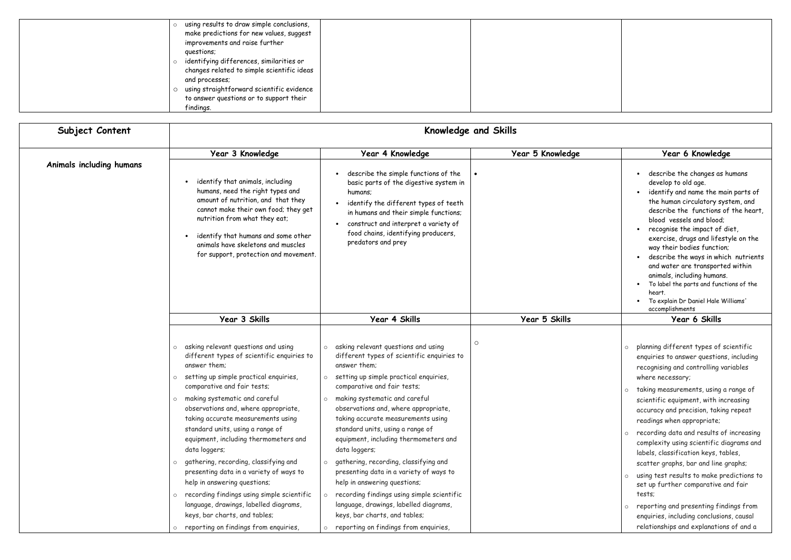| using results to draw simple conclusions,  |  |
|--------------------------------------------|--|
| make predictions for new values, suggest   |  |
| improvements and raise further             |  |
| questions;                                 |  |
| identifying differences, similarities or   |  |
| changes related to simple scientific ideas |  |
| and processes;                             |  |
| using straightforward scientific evidence  |  |
| to answer questions or to support their    |  |
| findings.                                  |  |

|                          | and processes;<br>using straightforward scientific evidence<br>$\circ$                                                                                                                                                                                                                                    |                                                                                                                                                                                                                                                                                  |                  |                                                                                                                                                                                                                                                                                                                                                                                                                                                                                                                                       |
|--------------------------|-----------------------------------------------------------------------------------------------------------------------------------------------------------------------------------------------------------------------------------------------------------------------------------------------------------|----------------------------------------------------------------------------------------------------------------------------------------------------------------------------------------------------------------------------------------------------------------------------------|------------------|---------------------------------------------------------------------------------------------------------------------------------------------------------------------------------------------------------------------------------------------------------------------------------------------------------------------------------------------------------------------------------------------------------------------------------------------------------------------------------------------------------------------------------------|
|                          | to answer questions or to support their<br>findings.                                                                                                                                                                                                                                                      |                                                                                                                                                                                                                                                                                  |                  |                                                                                                                                                                                                                                                                                                                                                                                                                                                                                                                                       |
| Subject Content          |                                                                                                                                                                                                                                                                                                           | Knowledge and Skills                                                                                                                                                                                                                                                             |                  |                                                                                                                                                                                                                                                                                                                                                                                                                                                                                                                                       |
|                          | Year 3 Knowledge                                                                                                                                                                                                                                                                                          | Year 4 Knowledge                                                                                                                                                                                                                                                                 | Year 5 Knowledge | Year 6 Knowledge                                                                                                                                                                                                                                                                                                                                                                                                                                                                                                                      |
| Animals including humans | identify that animals, including<br>humans, need the right types and<br>amount of nutrition, and that they<br>cannot make their own food; they get<br>nutrition from what they eat;<br>identify that humans and some other<br>animals have skeletons and muscles<br>for support, protection and movement. | describe the simple functions of the<br>basic parts of the digestive system in<br>humans;<br>identify the different types of teeth<br>in humans and their simple functions;<br>construct and interpret a variety of<br>food chains, identifying producers,<br>predators and prey |                  | describe the changes as humans<br>develop to old age.<br>identify and name the main parts of<br>the human circulatory system, and<br>describe the functions of the heart,<br>blood vessels and blood;<br>recognise the impact of diet,<br>exercise, drugs and lifestyle on the<br>way their bodies function;<br>describe the ways in which nutrients<br>and water are transported within<br>animals, including humans.<br>To label the parts and functions of the<br>heart.<br>To explain Dr Daniel Hale Williams'<br>accomplishments |
|                          | Year 3 Skills                                                                                                                                                                                                                                                                                             | Year 4 Skills                                                                                                                                                                                                                                                                    | Year 5 Skills    | Year 6 Skills                                                                                                                                                                                                                                                                                                                                                                                                                                                                                                                         |
|                          | asking relevant questions and using<br>$\circ$<br>different types of scientific enquiries to<br>answer them;<br>setting up simple practical enquiries,<br>comparative and fair tests;<br>making systematic and careful<br>$\circ$                                                                         | $\circ$<br>asking relevant questions and using<br>$\circ$<br>different types of scientific enquiries to<br>answer them:<br>setting up simple practical enquiries,<br>comparative and fair tests;<br>making systematic and careful<br>$\circ$                                     |                  | planning different types of scientific<br>$\circ$<br>enquiries to answer questions, including<br>recognising and controlling variables<br>where necessary;<br>taking measurements, using a range of<br>$\circ$<br>scientific equipment, with increasing                                                                                                                                                                                                                                                                               |
|                          | observations and, where appropriate,<br>taking accurate measurements using<br>standard units, using a range of<br>equipment, including thermometers and<br>data loggers;<br>gathering, recording, classifying and<br>presenting data in a variety of ways to                                              | observations and, where appropriate,<br>taking accurate measurements using<br>standard units, using a range of<br>equipment, including thermometers and<br>data loggers;<br>gathering, recording, classifying and<br>presenting data in a variety of ways to                     |                  | accuracy and precision, taking repeat<br>readings when appropriate;<br>recording data and results of increasing<br>$\circ$<br>complexity using scientific diagrams and<br>labels, classification keys, tables,<br>scatter graphs, bar and line graphs;                                                                                                                                                                                                                                                                                |
|                          | help in answering questions;<br>recording findings using simple scientific<br>language, drawings, labelled diagrams,<br>keys, bar charts, and tables;<br>reporting on findings from enquiries,                                                                                                            | help in answering questions;<br>recording findings using simple scientific<br>language, drawings, labelled diagrams,<br>keys, bar charts, and tables;<br>reporting on findings from enquiries,<br>$\circ$                                                                        |                  | using test results to make predictions to<br>$\circ$<br>set up further comparative and fair<br>tests;<br>reporting and presenting findings from<br>$\circ$<br>enquiries, including conclusions, causal<br>relationships and explanations of and a                                                                                                                                                                                                                                                                                     |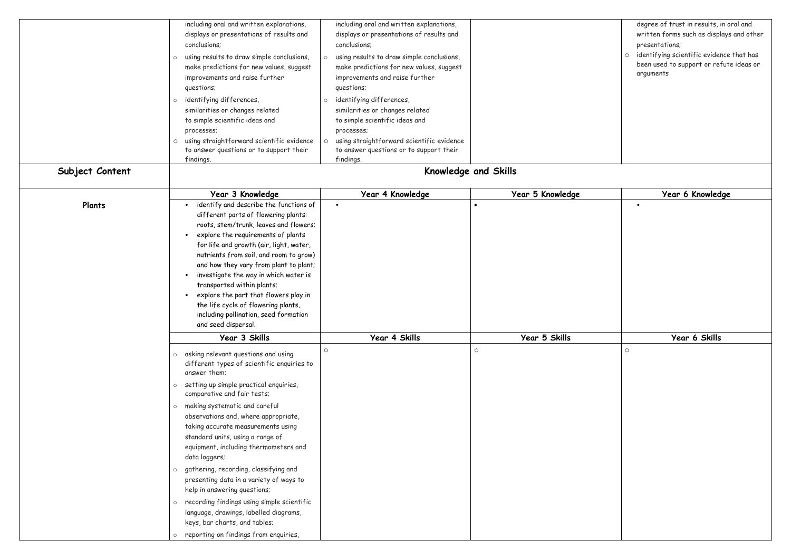|                 | including oral and written explanations,<br>displays or presentations of results and<br>conclusions;<br>using results to draw simple conclusions,<br>$\circ$<br>make predictions for new values, suggest<br>improvements and raise further<br>questions;                                                                                                                                                                                                                                                                                                                                                                                                                                                                                        | including oral and written explanations,<br>displays or presentations of results and<br>conclusions;<br>using results to draw simple conclusions,<br>$\circ$<br>make predictions for new values, suggest<br>improvements and raise further<br>questions; |                      | degree of trust in results, in oral and<br>written forms such as displays and other<br>presentations;<br>identifying scientific evidence that has<br>been used to support or refute ideas or<br>arguments |
|-----------------|-------------------------------------------------------------------------------------------------------------------------------------------------------------------------------------------------------------------------------------------------------------------------------------------------------------------------------------------------------------------------------------------------------------------------------------------------------------------------------------------------------------------------------------------------------------------------------------------------------------------------------------------------------------------------------------------------------------------------------------------------|----------------------------------------------------------------------------------------------------------------------------------------------------------------------------------------------------------------------------------------------------------|----------------------|-----------------------------------------------------------------------------------------------------------------------------------------------------------------------------------------------------------|
|                 | identifying differences,<br>$\circ$<br>similarities or changes related<br>to simple scientific ideas and<br>processes;<br>using straightforward scientific evidence<br>$\circ$<br>to answer questions or to support their<br>findings.                                                                                                                                                                                                                                                                                                                                                                                                                                                                                                          | identifying differences,<br>$\circ$<br>similarities or changes related<br>to simple scientific ideas and<br>processes;<br>using straightforward scientific evidence<br>to answer questions or to support their<br>findings.                              |                      |                                                                                                                                                                                                           |
| Subject Content |                                                                                                                                                                                                                                                                                                                                                                                                                                                                                                                                                                                                                                                                                                                                                 |                                                                                                                                                                                                                                                          | Knowledge and Skills |                                                                                                                                                                                                           |
|                 | Year 3 Knowledge                                                                                                                                                                                                                                                                                                                                                                                                                                                                                                                                                                                                                                                                                                                                | Year 4 Knowledge                                                                                                                                                                                                                                         | Year 5 Knowledge     | Year 6 Knowledge                                                                                                                                                                                          |
| Plants          | identify and describe the functions of<br>different parts of flowering plants:<br>roots, stem/trunk, leaves and flowers;<br>explore the requirements of plants<br>$\bullet$<br>for life and growth (air, light, water,<br>nutrients from soil, and room to grow)<br>and how they vary from plant to plant;<br>investigate the way in which water is<br>$\bullet$<br>transported within plants;<br>explore the part that flowers play in<br>the life cycle of flowering plants,<br>including pollination, seed formation<br>and seed dispersal.                                                                                                                                                                                                  | $\bullet$                                                                                                                                                                                                                                                |                      |                                                                                                                                                                                                           |
|                 | Year 3 Skills                                                                                                                                                                                                                                                                                                                                                                                                                                                                                                                                                                                                                                                                                                                                   | Year 4 Skills                                                                                                                                                                                                                                            | Year 5 Skills        | Year 6 Skills                                                                                                                                                                                             |
|                 | asking relevant questions and using<br>$\circ$<br>different types of scientific enquiries to<br>answer them;<br>setting up simple practical enquiries,<br>$\circ$<br>comparative and fair tests;<br>making systematic and careful<br>$\circ$<br>observations and, where appropriate,<br>taking accurate measurements using<br>standard units, using a range of<br>equipment, including thermometers and<br>data loggers;<br>gathering, recording, classifying and<br>$\circ$<br>presenting data in a variety of ways to<br>help in answering questions;<br>recording findings using simple scientific<br>$\circ$<br>language, drawings, labelled diagrams,<br>keys, bar charts, and tables;<br>reporting on findings from enquiries,<br>$\circ$ | $\circ$                                                                                                                                                                                                                                                  | $\circ$              | $\circ$                                                                                                                                                                                                   |

|   | degree of trust in results, in oral and  |
|---|------------------------------------------|
|   | written forms such as displays and other |
|   | presentations;                           |
| O | identifying scientific evidence that has |
|   | been used to support or refute ideas or  |
|   | arguments                                |
|   |                                          |
|   |                                          |
|   |                                          |
|   |                                          |
|   |                                          |
|   |                                          |
|   |                                          |
|   |                                          |
|   |                                          |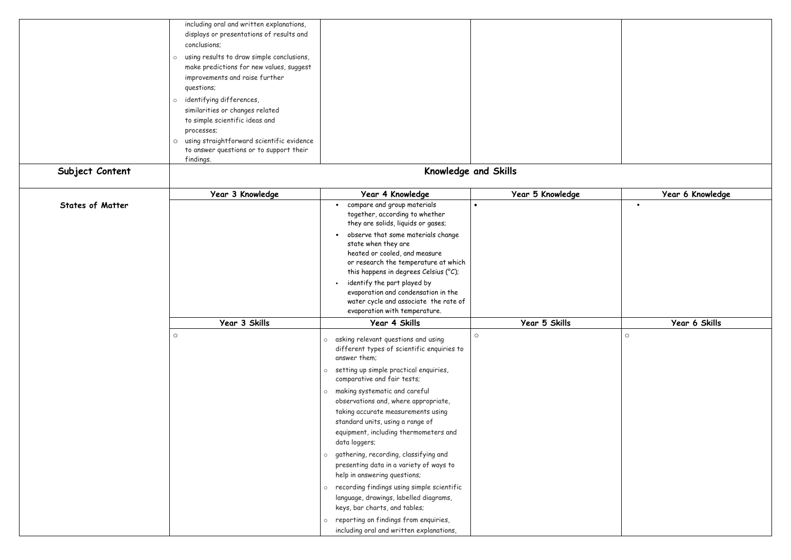|                         | including oral and written explanations,<br>displays or presentations of results and<br>conclusions;                                                                                                                          |                                                                                                                                                                                          |                  |                  |
|-------------------------|-------------------------------------------------------------------------------------------------------------------------------------------------------------------------------------------------------------------------------|------------------------------------------------------------------------------------------------------------------------------------------------------------------------------------------|------------------|------------------|
|                         | using results to draw simple conclusions,<br>$\circ$<br>make predictions for new values, suggest<br>improvements and raise further<br>questions;                                                                              |                                                                                                                                                                                          |                  |                  |
|                         | identifying differences,<br>$\circ$<br>similarities or changes related<br>to simple scientific ideas and<br>processes;<br>o using straightforward scientific evidence<br>to answer questions or to support their<br>findings. |                                                                                                                                                                                          |                  |                  |
| Subject Content         |                                                                                                                                                                                                                               | Knowledge and Skills                                                                                                                                                                     |                  |                  |
|                         | Year 3 Knowledge                                                                                                                                                                                                              | Year 4 Knowledge                                                                                                                                                                         | Year 5 Knowledge | Year 6 Knowledge |
| <b>States of Matter</b> |                                                                                                                                                                                                                               | compare and group materials<br>$\bullet$<br>together, according to whether<br>they are solids, liquids or gases;                                                                         |                  | $\bullet$        |
|                         |                                                                                                                                                                                                                               | observe that some materials change<br>$\bullet$<br>state when they are<br>heated or cooled, and measure<br>or research the temperature at which<br>this happens in degrees Celsius (°C); |                  |                  |
|                         |                                                                                                                                                                                                                               | identify the part played by<br>evaporation and condensation in the<br>water cycle and associate the rate of<br>evaporation with temperature.                                             |                  |                  |
|                         | Year 3 Skills                                                                                                                                                                                                                 | Year 4 Skills                                                                                                                                                                            | Year 5 Skills    | Year 6 Skills    |
|                         | $\circ$                                                                                                                                                                                                                       | $\circ$<br>asking relevant questions and using<br>$\circ$<br>different types of scientific enquiries to<br>answer them;                                                                  |                  | $\circ$          |
|                         |                                                                                                                                                                                                                               | setting up simple practical enquiries,<br>$\circ$<br>comparative and fair tests;                                                                                                         |                  |                  |
|                         |                                                                                                                                                                                                                               | making systematic and careful<br>$\circ$<br>observations and, where appropriate,                                                                                                         |                  |                  |
|                         |                                                                                                                                                                                                                               | taking accurate measurements using<br>standard units, using a range of<br>equipment, including thermometers and<br>data loggers;                                                         |                  |                  |
|                         |                                                                                                                                                                                                                               | gathering, recording, classifying and<br>$\circ$<br>presenting data in a variety of ways to<br>help in answering questions;                                                              |                  |                  |
|                         |                                                                                                                                                                                                                               | recording findings using simple scientific<br>$\circ$<br>language, drawings, labelled diagrams,<br>keys, bar charts, and tables;                                                         |                  |                  |
|                         |                                                                                                                                                                                                                               | reporting on findings from enquiries,<br>$\circ$<br>including oral and written explanations,                                                                                             |                  |                  |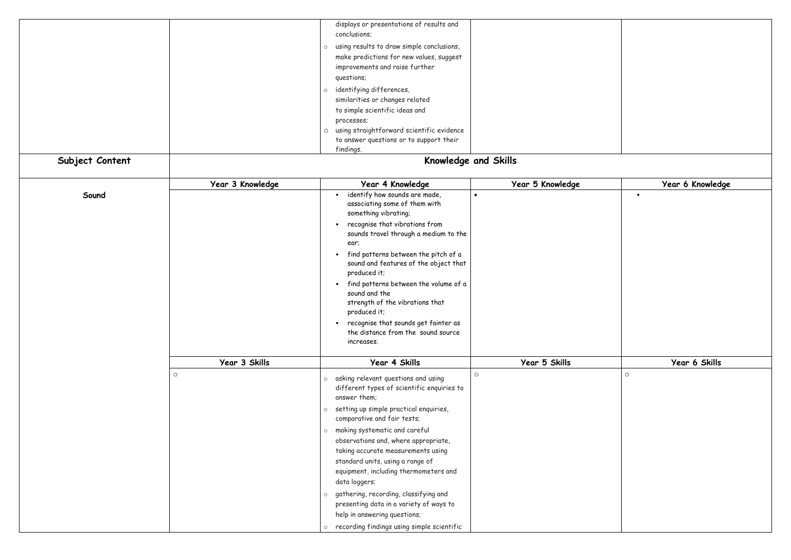

|                 |                  | displays or presentations of results and                                                |                  |         |
|-----------------|------------------|-----------------------------------------------------------------------------------------|------------------|---------|
|                 |                  | conclusions;                                                                            |                  |         |
|                 |                  | using results to draw simple conclusions,<br>$\circ$                                    |                  |         |
|                 |                  | make predictions for new values, suggest                                                |                  |         |
|                 |                  | improvements and raise further                                                          |                  |         |
|                 |                  | questions;                                                                              |                  |         |
|                 |                  |                                                                                         |                  |         |
|                 |                  | identifying differences,<br>$\circ$                                                     |                  |         |
|                 |                  | similarities or changes related                                                         |                  |         |
|                 |                  | to simple scientific ideas and                                                          |                  |         |
|                 |                  | processes;                                                                              |                  |         |
|                 |                  | using straightforward scientific evidence<br>$\circ$                                    |                  |         |
|                 |                  | to answer questions or to support their                                                 |                  |         |
|                 |                  | findings.                                                                               |                  |         |
| Subject Content |                  | Knowledge and Skills                                                                    |                  |         |
|                 | Year 3 Knowledge | Year 4 Knowledge                                                                        | Year 5 Knowledge |         |
| Sound           |                  | identify how sounds are made,<br>$\bullet$                                              | $\bullet$        |         |
|                 |                  | associating some of them with<br>something vibrating;                                   |                  |         |
|                 |                  | recognise that vibrations from<br>$\bullet$                                             |                  |         |
|                 |                  | sounds travel through a medium to the                                                   |                  |         |
|                 |                  | ear;                                                                                    |                  |         |
|                 |                  | find patterns between the pitch of a<br>$\bullet$                                       |                  |         |
|                 |                  | sound and features of the object that                                                   |                  |         |
|                 |                  | produced it;                                                                            |                  |         |
|                 |                  | find patterns between the volume of a<br>$\bullet$                                      |                  |         |
|                 |                  | sound and the                                                                           |                  |         |
|                 |                  | strength of the vibrations that                                                         |                  |         |
|                 |                  | produced it;                                                                            |                  |         |
|                 |                  |                                                                                         |                  |         |
|                 |                  | recognise that sounds get fainter as<br>$\bullet$<br>the distance from the sound source |                  |         |
|                 |                  | increases.                                                                              |                  |         |
|                 |                  |                                                                                         |                  |         |
|                 | Year 3 Skills    | Year 4 Skills                                                                           | Year 5 Skills    |         |
|                 | $\circ$          | asking relevant questions and using<br>$\circ$                                          | $\circ$          | $\circ$ |
|                 |                  | different types of scientific enquiries to                                              |                  |         |
|                 |                  | answer them;                                                                            |                  |         |
|                 |                  | setting up simple practical enquiries,<br>$\circ$                                       |                  |         |
|                 |                  | comparative and fair tests;                                                             |                  |         |
|                 |                  |                                                                                         |                  |         |
|                 |                  | making systematic and careful<br>$\circ$                                                |                  |         |
|                 |                  | observations and, where appropriate,                                                    |                  |         |
|                 |                  | taking accurate measurements using                                                      |                  |         |
|                 |                  | standard units, using a range of                                                        |                  |         |
|                 |                  | equipment, including thermometers and                                                   |                  |         |
|                 |                  | data loggers;                                                                           |                  |         |
|                 |                  | gathering, recording, classifying and<br>$\circ$                                        |                  |         |
|                 |                  | presenting data in a variety of ways to                                                 |                  |         |
|                 |                  | help in answering questions;                                                            |                  |         |
|                 |                  |                                                                                         |                  |         |
|                 |                  | o recording findings using simple scientific                                            |                  |         |

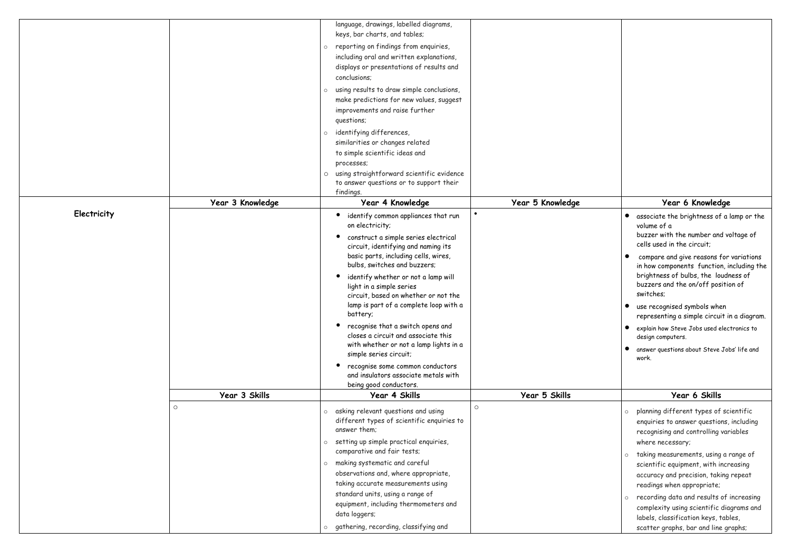|             |                  | language, drawings, labelled diagrams,                               |                  |                                                                  |
|-------------|------------------|----------------------------------------------------------------------|------------------|------------------------------------------------------------------|
|             |                  | keys, bar charts, and tables;                                        |                  |                                                                  |
|             |                  | reporting on findings from enquiries,<br>$\circ$                     |                  |                                                                  |
|             |                  | including oral and written explanations,                             |                  |                                                                  |
|             |                  | displays or presentations of results and                             |                  |                                                                  |
|             |                  | conclusions;                                                         |                  |                                                                  |
|             |                  | using results to draw simple conclusions,                            |                  |                                                                  |
|             |                  | make predictions for new values, suggest                             |                  |                                                                  |
|             |                  | improvements and raise further                                       |                  |                                                                  |
|             |                  | questions;                                                           |                  |                                                                  |
|             |                  | identifying differences,                                             |                  |                                                                  |
|             |                  | similarities or changes related                                      |                  |                                                                  |
|             |                  | to simple scientific ideas and                                       |                  |                                                                  |
|             |                  | processes;                                                           |                  |                                                                  |
|             |                  | using straightforward scientific evidence<br>$\circ$                 |                  |                                                                  |
|             |                  | to answer questions or to support their                              |                  |                                                                  |
|             |                  | findings.                                                            |                  |                                                                  |
|             | Year 3 Knowledge | Year 4 Knowledge                                                     | Year 5 Knowledge | Year 6 Knowledge                                                 |
| Electricity |                  | identify common appliances that run                                  |                  | associate the brightness of a<br>$\bullet$                       |
|             |                  | on electricity;                                                      |                  | volume of a<br>buzzer with the number and vo                     |
|             |                  | construct a simple series electrical                                 |                  | cells used in the circuit;                                       |
|             |                  | circuit, identifying and naming its                                  |                  |                                                                  |
|             |                  | basic parts, including cells, wires,<br>bulbs, switches and buzzers; |                  | compare and give reasons for                                     |
|             |                  |                                                                      |                  | in how components function, in<br>brightness of bulbs, the loudr |
|             |                  | identify whether or not a lamp will<br>light in a simple series      |                  | buzzers and the on/off positio                                   |
|             |                  | circuit, based on whether or not the                                 |                  | switches;                                                        |
|             |                  | lamp is part of a complete loop with a                               |                  | use recognised symbols when                                      |
|             |                  | battery;                                                             |                  | representing a simple circuit in                                 |
|             |                  | $\bullet$<br>recognise that a switch opens and                       |                  | explain how Steve Jobs used elec                                 |
|             |                  | closes a circuit and associate this                                  |                  | design computers.                                                |
|             |                  | with whether or not a lamp lights in a                               |                  | answer questions about Steve Job                                 |
|             |                  | simple series circuit;                                               |                  | work.                                                            |
|             |                  | recognise some common conductors                                     |                  |                                                                  |
|             |                  | and insulators associate metals with                                 |                  |                                                                  |
|             |                  | being good conductors.                                               |                  |                                                                  |
|             | Year 3 Skills    | Year 4 Skills                                                        | Year 5 Skills    | Year 6 Skills                                                    |
|             | $\circ$          | asking relevant questions and using<br>$\circ$                       | $\circ$          | planning different types of sc<br>$\circ$                        |
|             |                  | different types of scientific enquiries to                           |                  | enquiries to answer questions,                                   |
|             |                  | answer them;                                                         |                  | recognising and controlling var                                  |
|             |                  | setting up simple practical enquiries,<br>$\circ$                    |                  | where necessary;                                                 |
|             |                  | comparative and fair tests;                                          |                  | o taking measurements, using a r                                 |
|             |                  | making systematic and careful<br>$\circ$                             |                  | scientific equipment, with incr                                  |
|             |                  | observations and, where appropriate,                                 |                  | accuracy and precision, taking                                   |
|             |                  | taking accurate measurements using                                   |                  | readings when appropriate;                                       |
|             |                  | standard units, using a range of                                     |                  | o recording data and results of                                  |
|             |                  | equipment, including thermometers and                                |                  | complexity using scientific dia                                  |
|             |                  | data loggers;                                                        |                  | labels, classification keys, tab                                 |
|             |                  | gathering, recording, classifying and<br>$\circ$                     |                  | scatter graphs, bar and line gr                                  |
|             |                  |                                                                      |                  |                                                                  |

| Year 6 Knowledge                                                                                                                                                                |
|---------------------------------------------------------------------------------------------------------------------------------------------------------------------------------|
| associate the brightness of a lamp or the<br>volume of a<br>buzzer with the number and voltage of<br>cells used in the circuit;                                                 |
| compare and give reasons for variations<br>in how components function, including the<br>brightness of bulbs, the loudness of<br>buzzers and the on/off position of<br>switches: |
| use recognised symbols when<br>representing a simple circuit in a diagram.                                                                                                      |
| explain how Steve Jobs used electronics to<br>design computers.                                                                                                                 |
| answer questions about Steve Jobs' life and<br>work.                                                                                                                            |
| <b>Year 6 Skills</b>                                                                                                                                                            |
| planning different types of scientific<br>$\circ$<br>enquiries to answer questions, including<br>recognising and controlling variables<br>where necessary;                      |
| taking measurements, using a range of<br>$\circ$<br>scientific equipment, with increasing<br>accuracy and precision, taking repeat<br>readings when appropriate;                |
| recording data and results of increasing<br>$\circ$<br>complexity using scientific diagrams and<br>labels, classification keys, tables,<br>scatter graphs, bar and line graphs; |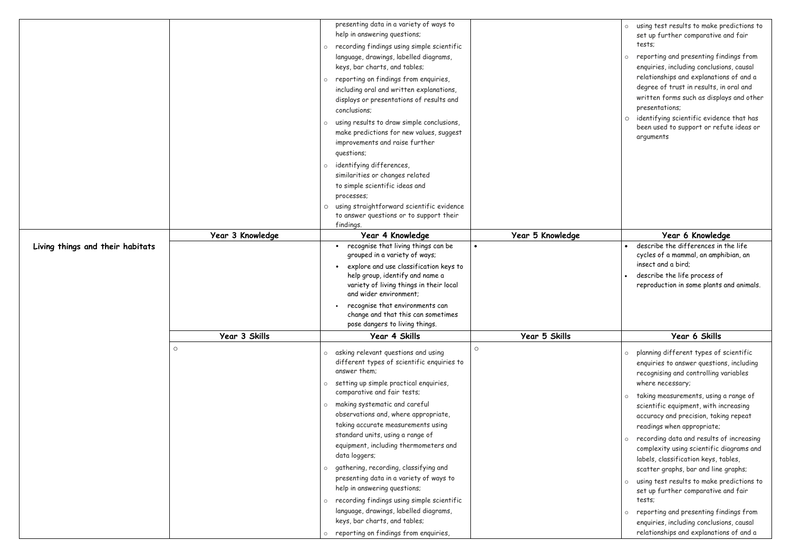| Living things and their habitats | Year 3 Knowledge | presenting data in a variety of ways to<br>help in answering questions;<br>recording findings using simple scientific<br>language, drawings, labelled diagrams,<br>keys, bar charts, and tables;<br>reporting on findings from enquiries,<br>including oral and written explanations,<br>displays or presentations of results and<br>conclusions;<br>using results to draw simple conclusions,<br>make predictions for new values, suggest<br>improvements and raise further<br>questions;<br>identifying differences,<br>similarities or changes related<br>to simple scientific ideas and<br>processes;<br>using straightforward scientific evidence<br>to answer questions or to support their<br>findings.<br>Year 4 Knowledge<br>recognise that living things can be<br>grouped in a variety of ways; | Year 5 Knowledge | o using test results to make pre<br>set up further comparative an<br>tests;<br>o reporting and presenting findi<br>enquiries, including conclusions<br>relationships and explanations<br>degree of trust in results, in o<br>written forms such as displays<br>presentations;<br>o identifying scientific evidence<br>been used to support or refut<br>arguments<br>Year 6 Knowledge<br>describe the differences in th<br>cycles of a mammal, an amphib |
|----------------------------------|------------------|------------------------------------------------------------------------------------------------------------------------------------------------------------------------------------------------------------------------------------------------------------------------------------------------------------------------------------------------------------------------------------------------------------------------------------------------------------------------------------------------------------------------------------------------------------------------------------------------------------------------------------------------------------------------------------------------------------------------------------------------------------------------------------------------------------|------------------|---------------------------------------------------------------------------------------------------------------------------------------------------------------------------------------------------------------------------------------------------------------------------------------------------------------------------------------------------------------------------------------------------------------------------------------------------------|
|                                  |                  | explore and use classification keys to<br>help group, identify and name a<br>variety of living things in their local<br>and wider environment;<br>recognise that environments can<br>change and that this can sometimes                                                                                                                                                                                                                                                                                                                                                                                                                                                                                                                                                                                    |                  | insect and a bird;<br>describe the life process of<br>reproduction in some plants an                                                                                                                                                                                                                                                                                                                                                                    |
|                                  |                  | pose dangers to living things.                                                                                                                                                                                                                                                                                                                                                                                                                                                                                                                                                                                                                                                                                                                                                                             |                  |                                                                                                                                                                                                                                                                                                                                                                                                                                                         |
|                                  | Year 3 Skills    | Year 4 Skills                                                                                                                                                                                                                                                                                                                                                                                                                                                                                                                                                                                                                                                                                                                                                                                              | Year 5 Skills    | Year 6 Skills                                                                                                                                                                                                                                                                                                                                                                                                                                           |
|                                  | $\circ$          | $\circ$<br>asking relevant questions and using<br>different types of scientific enquiries to<br>answer them;<br>setting up simple practical enquiries,<br>comparative and fair tests;                                                                                                                                                                                                                                                                                                                                                                                                                                                                                                                                                                                                                      |                  | o planning different types of sc<br>enquiries to answer questions,<br>recognising and controlling var<br>where necessary;<br>o taking measurements, using a                                                                                                                                                                                                                                                                                             |
|                                  |                  | making systematic and careful<br>observations and, where appropriate,<br>taking accurate measurements using<br>standard units, using a range of<br>equipment, including thermometers and<br>data loggers;                                                                                                                                                                                                                                                                                                                                                                                                                                                                                                                                                                                                  |                  | scientific equipment, with incr<br>accuracy and precision, taking<br>readings when appropriate;<br>o recording data and results of<br>complexity using scientific dia                                                                                                                                                                                                                                                                                   |
|                                  |                  | gathering, recording, classifying and<br>presenting data in a variety of ways to<br>help in answering questions;<br>recording findings using simple scientific                                                                                                                                                                                                                                                                                                                                                                                                                                                                                                                                                                                                                                             |                  | labels, classification keys, tab<br>scatter graphs, bar and line gr<br>o using test results to make pre<br>set up further comparative an<br>tests;                                                                                                                                                                                                                                                                                                      |
|                                  |                  | language, drawings, labelled diagrams,<br>keys, bar charts, and tables;<br>o reporting on findings from enquiries,                                                                                                                                                                                                                                                                                                                                                                                                                                                                                                                                                                                                                                                                                         |                  | o reporting and presenting findi<br>enquiries, including conclusions<br>relationships and explanations                                                                                                                                                                                                                                                                                                                                                  |

| $\circ$ | using test results to make predictions to<br>set up further comparative and fair<br>tests;                                                                                                                                             |
|---------|----------------------------------------------------------------------------------------------------------------------------------------------------------------------------------------------------------------------------------------|
| O       | reporting and presenting findings from<br>enquiries, including conclusions, causal<br>relationships and explanations of and a<br>degree of trust in results, in oral and<br>written forms such as displays and other<br>presentations; |
| 0       | identifying scientific evidence that has<br>been used to support or refute ideas or<br>arguments                                                                                                                                       |
|         |                                                                                                                                                                                                                                        |
|         | Year 6 Knowledge                                                                                                                                                                                                                       |
|         | describe the differences in the life<br>cycles of a mammal, an amphibian, an<br>insect and a bird;                                                                                                                                     |
|         | describe the life process of<br>reproduction in some plants and animals.                                                                                                                                                               |
|         | Year 6 Skills                                                                                                                                                                                                                          |
| $\circ$ | planning different types of scientific<br>enquiries to answer questions, including<br>recognising and controlling variables<br>where necessary;                                                                                        |
| O       | taking measurements, using a range of<br>scientific equipment, with increasing<br>accuracy and precision, taking repeat<br>readings when appropriate;                                                                                  |
| $\circ$ | recording data and results of increasing<br>complexity using scientific diagrams and<br>labels, classification keys, tables,<br>scatter graphs, bar and line graphs;                                                                   |
| $\circ$ | using test results to make predictions to<br>set up further comparative and fair<br>tests:                                                                                                                                             |
| $\circ$ | reporting and presenting findings from<br>enquiries, including conclusions, causal<br>relationships and explanations of and a                                                                                                          |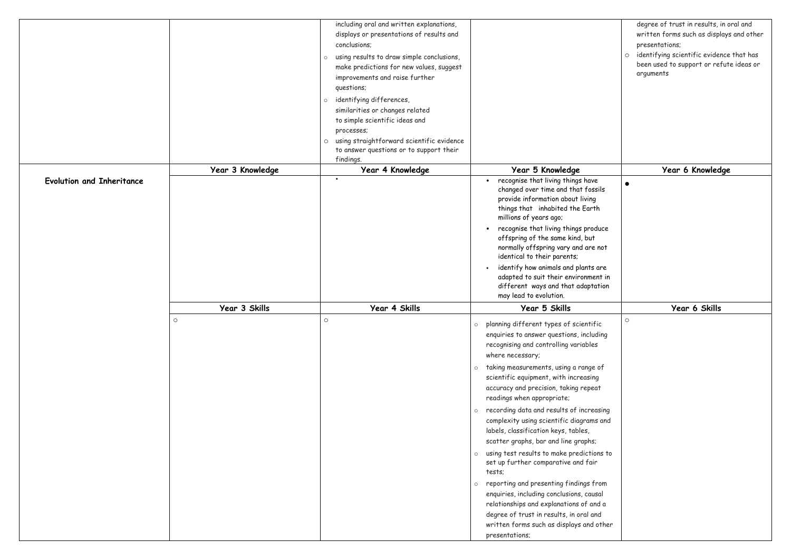|                                  |                  | including oral and written explanations,<br>displays or presentations of results and<br>conclusions;                                                                                                                                   |                                                                                                                                                                                                                                                                                                                                                     | degree of trust in results, in a<br>written forms such as displays<br>presentations; |
|----------------------------------|------------------|----------------------------------------------------------------------------------------------------------------------------------------------------------------------------------------------------------------------------------------|-----------------------------------------------------------------------------------------------------------------------------------------------------------------------------------------------------------------------------------------------------------------------------------------------------------------------------------------------------|--------------------------------------------------------------------------------------|
|                                  |                  | using results to draw simple conclusions,<br>$\circ$<br>make predictions for new values, suggest<br>improvements and raise further<br>questions;                                                                                       |                                                                                                                                                                                                                                                                                                                                                     | o identifying scientific evidence<br>been used to support or refut<br>arguments      |
|                                  |                  | identifying differences,<br>$\circ$<br>similarities or changes related<br>to simple scientific ideas and<br>processes;<br>using straightforward scientific evidence<br>$\circ$<br>to answer questions or to support their<br>findings. |                                                                                                                                                                                                                                                                                                                                                     |                                                                                      |
|                                  | Year 3 Knowledge | Year 4 Knowledge                                                                                                                                                                                                                       | Year 5 Knowledge                                                                                                                                                                                                                                                                                                                                    | Year 6 Knowledge                                                                     |
| <b>Evolution and Inheritance</b> |                  | $\bullet$                                                                                                                                                                                                                              | recognise that living things have<br>$\bullet$<br>changed over time and that fossils<br>provide information about living<br>things that inhabited the Earth<br>millions of years ago;<br>recognise that living things produce<br>$\bullet$<br>offspring of the same kind, but<br>normally offspring vary and are not<br>identical to their parents; | $\bullet$                                                                            |
|                                  |                  |                                                                                                                                                                                                                                        | identify how animals and plants are<br>adapted to suit their environment in<br>different ways and that adaptation<br>may lead to evolution.                                                                                                                                                                                                         |                                                                                      |
|                                  | Year 3 Skills    | Year 4 Skills                                                                                                                                                                                                                          | Year 5 Skills                                                                                                                                                                                                                                                                                                                                       | Year 6 Skills                                                                        |
|                                  | $\circ$          | $\circ$                                                                                                                                                                                                                                | o planning different types of scientific<br>enquiries to answer questions, including<br>recognising and controlling variables<br>where necessary;                                                                                                                                                                                                   | $\bigcirc$                                                                           |
|                                  |                  |                                                                                                                                                                                                                                        | taking measurements, using a range of<br>$\circ$<br>scientific equipment, with increasing<br>accuracy and precision, taking repeat<br>readings when appropriate;                                                                                                                                                                                    |                                                                                      |
|                                  |                  |                                                                                                                                                                                                                                        | o recording data and results of increasing<br>complexity using scientific diagrams and<br>labels, classification keys, tables,<br>scatter graphs, bar and line graphs;                                                                                                                                                                              |                                                                                      |
|                                  |                  |                                                                                                                                                                                                                                        | o using test results to make predictions to<br>set up further comparative and fair<br>tests;                                                                                                                                                                                                                                                        |                                                                                      |
|                                  |                  |                                                                                                                                                                                                                                        | o reporting and presenting findings from<br>enquiries, including conclusions, causal<br>relationships and explanations of and a<br>degree of trust in results, in oral and<br>written forms such as displays and other                                                                                                                              |                                                                                      |
|                                  |                  |                                                                                                                                                                                                                                        | presentations;                                                                                                                                                                                                                                                                                                                                      |                                                                                      |

|       |         | degree of trust in results, in oral and                                                          |
|-------|---------|--------------------------------------------------------------------------------------------------|
|       |         | written forms such as displays and other                                                         |
|       |         | presentations;                                                                                   |
|       | $\circ$ | identifying scientific evidence that has<br>been used to support or refute ideas or<br>arguments |
|       |         |                                                                                                  |
|       |         |                                                                                                  |
|       |         |                                                                                                  |
|       |         |                                                                                                  |
|       |         |                                                                                                  |
|       |         |                                                                                                  |
|       |         |                                                                                                  |
|       |         |                                                                                                  |
|       |         | Year 6 Knowledge                                                                                 |
|       |         |                                                                                                  |
| ils   |         |                                                                                                  |
|       |         |                                                                                                  |
| uce   |         |                                                                                                  |
|       |         |                                                                                                  |
| 10t   |         |                                                                                                  |
| ıre   |         |                                                                                                  |
| ıt in |         |                                                                                                  |
| tion  |         |                                                                                                  |
|       |         |                                                                                                  |
|       |         | Year 6 Skills                                                                                    |
|       | $\circ$ |                                                                                                  |
| c     |         |                                                                                                  |
| ing   |         |                                                                                                  |
|       |         |                                                                                                  |
|       |         |                                                                                                  |
| ρf    |         |                                                                                                  |
| t     |         |                                                                                                  |
|       |         |                                                                                                  |
|       |         |                                                                                                  |
| sing  |         |                                                                                                  |
| and   |         |                                                                                                  |
|       |         |                                                                                                  |
|       |         |                                                                                                  |
| is to |         |                                                                                                  |
|       |         |                                                                                                  |
| om    |         |                                                                                                  |
| al    |         |                                                                                                  |
| d a   |         |                                                                                                  |
| d     |         |                                                                                                  |
| ther  |         |                                                                                                  |
|       |         |                                                                                                  |
|       |         |                                                                                                  |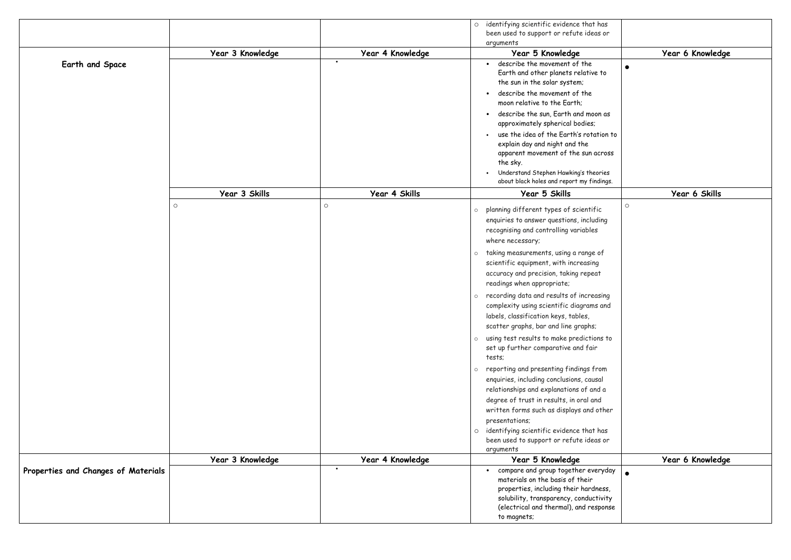|                                     |                  |                               | o identifying scientific evidence that has<br>been used to support or refute ideas or<br>arguments                                                                                                                              |                  |
|-------------------------------------|------------------|-------------------------------|---------------------------------------------------------------------------------------------------------------------------------------------------------------------------------------------------------------------------------|------------------|
|                                     | Year 3 Knowledge | Year 4 Knowledge              | Year 5 Knowledge                                                                                                                                                                                                                | Year 6 Knowledge |
| Earth and Space                     |                  | $\bullet$                     | describe the movement of the<br>Earth and other planets relative to<br>the sun in the solar system;<br>describe the movement of the<br>moon relative to the Earth;                                                              |                  |
|                                     |                  |                               | describe the sun, Earth and moon as<br>$\bullet$<br>approximately spherical bodies;<br>use the idea of the Earth's rotation to                                                                                                  |                  |
|                                     |                  |                               | explain day and night and the<br>apparent movement of the sun across<br>the sky.<br>Understand Stephen Hawking's theories                                                                                                       |                  |
|                                     |                  |                               | about black holes and report my findings.                                                                                                                                                                                       |                  |
|                                     | Year 3 Skills    | Year 4 Skills                 | Year 5 Skills                                                                                                                                                                                                                   | Year 6 Skills    |
|                                     | $\circ$          | $\circ$                       | planning different types of scientific<br>$\circ$<br>enquiries to answer questions, including<br>recognising and controlling variables<br>where necessary;                                                                      | $\circ$          |
|                                     |                  |                               | o taking measurements, using a range of<br>scientific equipment, with increasing<br>accuracy and precision, taking repeat<br>readings when appropriate;                                                                         |                  |
|                                     |                  |                               | o recording data and results of increasing<br>complexity using scientific diagrams and<br>labels, classification keys, tables,<br>scatter graphs, bar and line graphs;                                                          |                  |
|                                     |                  |                               | o using test results to make predictions to<br>set up further comparative and fair<br>tests;                                                                                                                                    |                  |
|                                     |                  |                               | reporting and presenting findings from<br>$\circ$<br>enquiries, including conclusions, causal<br>relationships and explanations of and a<br>degree of trust in results, in oral and<br>written forms such as displays and other |                  |
|                                     |                  |                               | presentations;<br>o identifying scientific evidence that has<br>been used to support or refute ideas or<br>arguments                                                                                                            |                  |
|                                     | Year 3 Knowledge | Year 4 Knowledge<br>$\bullet$ | Year 5 Knowledge                                                                                                                                                                                                                | Year 6 Knowledge |
| Properties and Changes of Materials |                  |                               | compare and group together everyday<br>materials on the basis of their<br>properties, including their hardness,<br>solubility, transparency, conductivity<br>(electrical and thermal), and response<br>to magnets;              |                  |

| has           |                  |
|---------------|------------------|
| s or          |                  |
|               |                  |
|               |                  |
|               | Year 6 Knowledge |
|               |                  |
| $\mathsf{to}$ |                  |
|               |                  |
|               |                  |
|               |                  |
|               |                  |
| n as          |                  |
|               |                  |
|               |                  |
| tion to       |                  |
|               |                  |
| cross         |                  |
|               |                  |
|               |                  |
| ries          |                  |
| dings.        |                  |
|               | Year 6 Skills    |
|               |                  |
| c             | $\circ$          |
| ling          |                  |
|               |                  |
|               |                  |
|               |                  |
| of            |                  |
|               |                  |
|               |                  |
| t             |                  |
|               |                  |
|               |                  |
| sing          |                  |
| and           |                  |
|               |                  |
|               |                  |
|               |                  |
| ns to         |                  |
|               |                  |
|               |                  |
|               |                  |
| om            |                  |
| αl            |                  |
|               |                  |
| d a           |                  |
| d             |                  |
| ther          |                  |
|               |                  |
|               |                  |
| has           |                  |
| s or          |                  |
|               |                  |
|               | Year 6 Knowledge |
|               |                  |
| ryday         |                  |
|               |                  |
| iess,         |                  |
| ivity         |                  |
| ponse         |                  |
|               |                  |
|               |                  |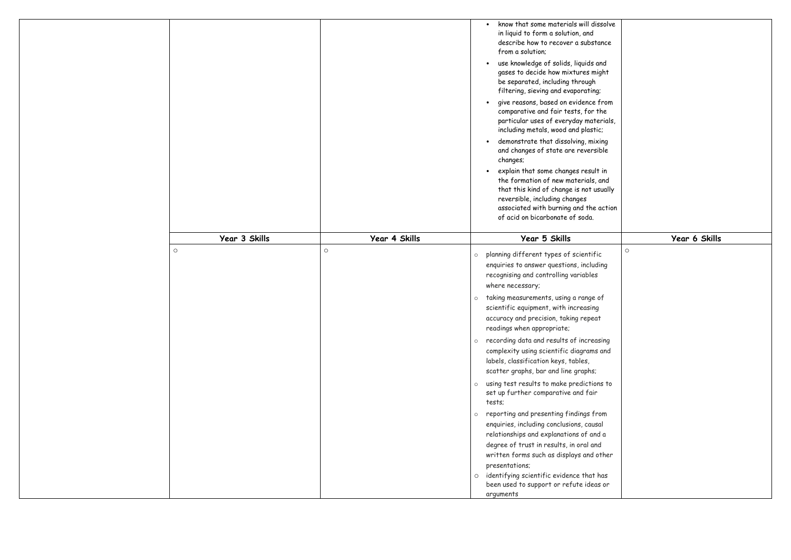|               |               | know that some materials will dissolve<br>in liquid to form a solution, and<br>describe how to recover a substance<br>from a solution;<br>use knowledge of solids, liquids and<br>gases to decide how mixtures might<br>be separated, including through<br>filtering, sieving and evaporating;<br>give reasons, based on evidence from<br>comparative and fair tests, for the<br>particular uses of everyday materials,<br>including metals, wood and plastic;<br>demonstrate that dissolving, mixing<br>and changes of state are reversible<br>changes;<br>explain that some changes result in<br>the formation of new materials, and<br>that this kind of change is not usually<br>reversible, including changes<br>associated with burning and the action<br>of acid on bicarbonate of soda.                                                                                                                                                                                                |               |
|---------------|---------------|------------------------------------------------------------------------------------------------------------------------------------------------------------------------------------------------------------------------------------------------------------------------------------------------------------------------------------------------------------------------------------------------------------------------------------------------------------------------------------------------------------------------------------------------------------------------------------------------------------------------------------------------------------------------------------------------------------------------------------------------------------------------------------------------------------------------------------------------------------------------------------------------------------------------------------------------------------------------------------------------|---------------|
| Year 3 Skills | Year 4 Skills | Year 5 Skills                                                                                                                                                                                                                                                                                                                                                                                                                                                                                                                                                                                                                                                                                                                                                                                                                                                                                                                                                                                  | Year 6 Skills |
| $\circ$       | $\circ$       | planning different types of scientific<br>$\circ$<br>enquiries to answer questions, including<br>recognising and controlling variables<br>where necessary;<br>taking measurements, using a range of<br>$\circ$<br>scientific equipment, with increasing<br>accuracy and precision, taking repeat<br>readings when appropriate;<br>recording data and results of increasing<br>$\circ$<br>complexity using scientific diagrams and<br>labels, classification keys, tables,<br>scatter graphs, bar and line graphs;<br>using test results to make predictions to<br>$\circ$<br>set up further comparative and fair<br>tests;<br>reporting and presenting findings from<br>$\circ$<br>enquiries, including conclusions, causal<br>relationships and explanations of and a<br>degree of trust in results, in oral and<br>written forms such as displays and other<br>presentations;<br>identifying scientific evidence that has<br>$\circ$<br>been used to support or refute ideas or<br>arguments | $\circ$       |

| ssolve                                             |               |
|----------------------------------------------------|---------------|
| ance                                               |               |
| ınd<br>ight                                        |               |
| J;<br>from<br>the<br>erials,<br>c;<br>cing<br>ible |               |
| t in<br>and<br>sually                              |               |
| action                                             |               |
|                                                    | Year 6 Skills |
| ic<br>ling                                         | $\circ$       |
| of<br>j<br>$\ddagger$                              |               |
| sing<br>and                                        |               |
| ns to                                              |               |
| 'om<br>άl<br>d a<br>d<br>other                     |               |
| has                                                |               |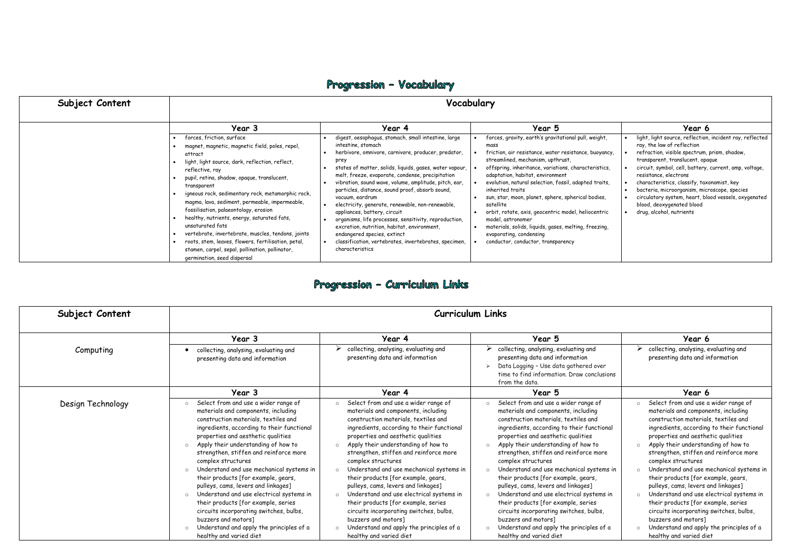## Progression - Vocabulary

| Subject Content | Vocabulary                                                                                                                                                                                                                                                                                                                                                                                                                                               |                                                                                                                                                                                                                                                                                                                                                                                                                                                                                                                                                                                              |                                                                                                                                                                                                                                                                                                                                                                                                                                                                                                                                                       |                                                                                                                                                                                                                                                                                                                                                                     |  |
|-----------------|----------------------------------------------------------------------------------------------------------------------------------------------------------------------------------------------------------------------------------------------------------------------------------------------------------------------------------------------------------------------------------------------------------------------------------------------------------|----------------------------------------------------------------------------------------------------------------------------------------------------------------------------------------------------------------------------------------------------------------------------------------------------------------------------------------------------------------------------------------------------------------------------------------------------------------------------------------------------------------------------------------------------------------------------------------------|-------------------------------------------------------------------------------------------------------------------------------------------------------------------------------------------------------------------------------------------------------------------------------------------------------------------------------------------------------------------------------------------------------------------------------------------------------------------------------------------------------------------------------------------------------|---------------------------------------------------------------------------------------------------------------------------------------------------------------------------------------------------------------------------------------------------------------------------------------------------------------------------------------------------------------------|--|
|                 | Year 3<br>forces, friction, surface<br>magnet, magnetic, magnetic field, poles, repel,<br>attract<br>light, light source, dark, reflection, reflect,<br>reflective, ray<br>pupil, retina, shadow, opaque, translucent,<br>transparent<br>igneous rock, sedimentary rock, metamorphic rock,<br>magma, lava, sediment, permeable, impermeable,<br>fossilisation, palaeontology, erosion<br>healthy, nutrients, energy, saturated fats,<br>unsaturated fats | Year 4<br>digest, oesophagus, stomach, small intestine, large<br>intestine, stomach<br>herbivore, omnivore, carnivore, producer, predator,<br>prey<br>states of matter, solids, liquids, gases, water vapour,<br>melt, freeze, evaporate, condense, precipitation<br>vibration, sound wave, volume, amplitude, pitch, ear,<br>particles, distance, sound proof, absorb sound,<br>vacuum, eardrum<br>electricity, generate, renewable, non-renewable,<br>appliances, battery, circuit<br>organisms, life processes, sensitivity, reproduction,<br>excretion, nutrition, habitat, environment, | Year 5<br>forces, gravity, earth's gravitational pull, weight,<br>mass<br>friction, air resistance, water resistance, buoyancy,<br>streamlined, mechanism, upthrust,<br>offspring, inheritance, variations, characteristics,<br>adaptation, habitat, environment<br>evolution, natural selection, fossil, adapted traits,<br>inherited traits<br>sun, star, moon, planet, sphere, spherical bodies,<br>satellite<br>orbit, rotate, axis, geocentric model, heliocentric<br>model, astronomer<br>materials, solids, liquids, gases, melting, freezing, | Year 6<br>light, light source, reflection<br>ray, the law of reflection<br>refraction, visible spectrum,<br>transparent, translucent, opa<br>circuit, symbol, cell, battery,<br>resistance, electrons<br>characteristics, classify, tax<br>bacteria, microorganism, micr<br>circulatory system, heart, blo<br>blood, deoxygenated blood<br>drug, alcohol, nutrients |  |
|                 | vertebrate, invertebrate, muscles, tendons, joints<br>roots, stem, leaves, flowers, fertilisation, petal,<br>stamen, carpel, sepal, pollination, pollinator,<br>germination, seed dispersal                                                                                                                                                                                                                                                              | endangered species, extinct<br>classification, vertebrates, invertebrates, specimen,<br>characteristics                                                                                                                                                                                                                                                                                                                                                                                                                                                                                      | evaporating, condensing<br>conductor, conductor, transparency                                                                                                                                                                                                                                                                                                                                                                                                                                                                                         |                                                                                                                                                                                                                                                                                                                                                                     |  |

## Progression - Curriculum Links

|        | Year 6                                                                                     |
|--------|--------------------------------------------------------------------------------------------|
| ght,   | light, light source, reflection, incident ray, reflected<br>ray, the law of reflection     |
| yancy, | refraction, visible spectrum, prism, shadow,<br>transparent, translucent, opaque           |
| stics, | circuit, symbol, cell, battery, current, amp, voltage,<br>resistance, electrons            |
| raits, | characteristics, classify, taxonomist, key<br>bacteria, microorganism, microscope, species |
| ies,   | circulatory system, heart, blood vessels, oxygenated<br>blood, deoxygenated blood          |
| ntric  | drug, alcohol, nutrients                                                                   |
| zing,  |                                                                                            |
|        |                                                                                            |
|        |                                                                                            |

| Subject Content   | <b>Curriculum Links</b>                                                                                                                                                                                                                                                                                                                                                                                                                                                                                                                                                                                                                                                |                                                                                                                                                                                                                                                                                                                                                                                                                                                                                                                                                                                                                                                                                  |                                                                                                                                                                                                                                                                                                                                                                                                                                                                                                                                                                                                                                                                                                                             |                                                                                                                                                                                                                                                                                                                                                                                                                                                                                                                                                                                                                                                                                                                              |
|-------------------|------------------------------------------------------------------------------------------------------------------------------------------------------------------------------------------------------------------------------------------------------------------------------------------------------------------------------------------------------------------------------------------------------------------------------------------------------------------------------------------------------------------------------------------------------------------------------------------------------------------------------------------------------------------------|----------------------------------------------------------------------------------------------------------------------------------------------------------------------------------------------------------------------------------------------------------------------------------------------------------------------------------------------------------------------------------------------------------------------------------------------------------------------------------------------------------------------------------------------------------------------------------------------------------------------------------------------------------------------------------|-----------------------------------------------------------------------------------------------------------------------------------------------------------------------------------------------------------------------------------------------------------------------------------------------------------------------------------------------------------------------------------------------------------------------------------------------------------------------------------------------------------------------------------------------------------------------------------------------------------------------------------------------------------------------------------------------------------------------------|------------------------------------------------------------------------------------------------------------------------------------------------------------------------------------------------------------------------------------------------------------------------------------------------------------------------------------------------------------------------------------------------------------------------------------------------------------------------------------------------------------------------------------------------------------------------------------------------------------------------------------------------------------------------------------------------------------------------------|
|                   | Year 3                                                                                                                                                                                                                                                                                                                                                                                                                                                                                                                                                                                                                                                                 | Year 4                                                                                                                                                                                                                                                                                                                                                                                                                                                                                                                                                                                                                                                                           | Year 5                                                                                                                                                                                                                                                                                                                                                                                                                                                                                                                                                                                                                                                                                                                      | Year 6                                                                                                                                                                                                                                                                                                                                                                                                                                                                                                                                                                                                                                                                                                                       |
| Computing         | collecting, analysing, evaluating and<br>presenting data and information                                                                                                                                                                                                                                                                                                                                                                                                                                                                                                                                                                                               | $\triangleright$ collecting, analysing, evaluating and<br>presenting data and information                                                                                                                                                                                                                                                                                                                                                                                                                                                                                                                                                                                        | $\triangleright$ collecting, analysing, evaluating and<br>presenting data and information<br>Data Logging - Use data gathered over<br>time to find information. Draw conclusions<br>from the data.                                                                                                                                                                                                                                                                                                                                                                                                                                                                                                                          | collecting, analysing, evaluating and<br>presenting data and information                                                                                                                                                                                                                                                                                                                                                                                                                                                                                                                                                                                                                                                     |
|                   | Year 3                                                                                                                                                                                                                                                                                                                                                                                                                                                                                                                                                                                                                                                                 | Year 4                                                                                                                                                                                                                                                                                                                                                                                                                                                                                                                                                                                                                                                                           | Year 5                                                                                                                                                                                                                                                                                                                                                                                                                                                                                                                                                                                                                                                                                                                      | Year 6                                                                                                                                                                                                                                                                                                                                                                                                                                                                                                                                                                                                                                                                                                                       |
| Design Technology | Select from and use a wider range of<br>materials and components, including<br>construction materials, textiles and<br>ingredients, according to their functional<br>properties and aesthetic qualities<br>o Apply their understanding of how to<br>strengthen, stiffen and reinforce more<br>complex structures<br>Understand and use mechanical systems in<br>their products [for example, gears,<br>pulleys, cams, levers and linkages]<br>Understand and use electrical systems in<br>their products [for example, series<br>circuits incorporating switches, bulbs,<br>buzzers and motors]<br>Understand and apply the principles of a<br>healthy and varied diet | Select from and use a wider range of<br>materials and components, including<br>construction materials, textiles and<br>ingredients, according to their functional<br>properties and aesthetic qualities<br>Apply their understanding of how to<br>strengthen, stiffen and reinforce more<br>complex structures<br>Understand and use mechanical systems in<br>their products [for example, gears,<br>pulleys, cams, levers and linkages]<br>Understand and use electrical systems in<br>$\Omega$<br>their products [for example, series<br>circuits incorporating switches, bulbs,<br>buzzers and motors]<br>Understand and apply the principles of a<br>healthy and varied diet | Select from and use a wider range of<br>$\circ$<br>materials and components, including<br>construction materials, textiles and<br>ingredients, according to their functional<br>properties and aesthetic qualities<br>Apply their understanding of how to<br>$\circ$<br>strengthen, stiffen and reinforce more<br>complex structures<br>Understand and use mechanical systems in<br>$\circ$<br>their products [for example, gears,<br>pulleys, cams, levers and linkages]<br>Understand and use electrical systems in<br>$\circ$<br>their products [for example, series<br>circuits incorporating switches, bulbs,<br>buzzers and motors]<br>Understand and apply the principles of a<br>$\circ$<br>healthy and varied diet | Select from and use a wider range of<br>$\Omega$<br>materials and components, including<br>construction materials, textiles and<br>ingredients, according to their functional<br>properties and aesthetic qualities<br>Apply their understanding of how to<br>$\circ$<br>strengthen, stiffen and reinforce more<br>complex structures<br>Understand and use mechanical systems in<br>$\circ$<br>their products [for example, gears,<br>pulleys, cams, levers and linkages]<br>Understand and use electrical systems in<br>$\circ$<br>their products [for example, series<br>circuits incorporating switches, bulbs,<br>buzzers and motors]<br>Understand and apply the principles of a<br>$\circ$<br>healthy and varied diet |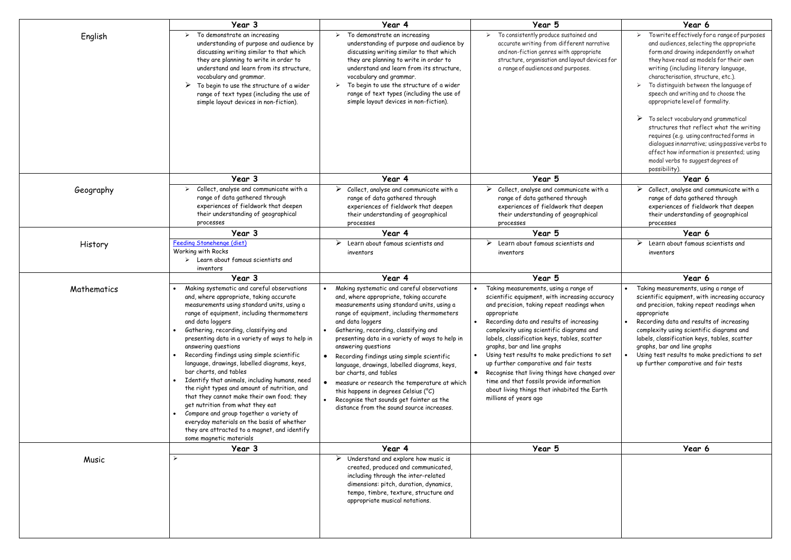|             | Year 3                                                                                                                                                                                                                                                                                                                                                                                                                                                                                                                                                                                                                                                                                                                                                                                                  | Year 4                                                                                                                                                                                                                                                                                                                                                                                                                                                                                                                                                                                                                              | Year 5                                                                                                                                                                                                                                                                                                                                                                                                                                                                                                                                                                                        | Year 6                                                                                                                                                                                                                                                                                                                                                                                                                                                                                                                                                                                                                                                                      |
|-------------|---------------------------------------------------------------------------------------------------------------------------------------------------------------------------------------------------------------------------------------------------------------------------------------------------------------------------------------------------------------------------------------------------------------------------------------------------------------------------------------------------------------------------------------------------------------------------------------------------------------------------------------------------------------------------------------------------------------------------------------------------------------------------------------------------------|-------------------------------------------------------------------------------------------------------------------------------------------------------------------------------------------------------------------------------------------------------------------------------------------------------------------------------------------------------------------------------------------------------------------------------------------------------------------------------------------------------------------------------------------------------------------------------------------------------------------------------------|-----------------------------------------------------------------------------------------------------------------------------------------------------------------------------------------------------------------------------------------------------------------------------------------------------------------------------------------------------------------------------------------------------------------------------------------------------------------------------------------------------------------------------------------------------------------------------------------------|-----------------------------------------------------------------------------------------------------------------------------------------------------------------------------------------------------------------------------------------------------------------------------------------------------------------------------------------------------------------------------------------------------------------------------------------------------------------------------------------------------------------------------------------------------------------------------------------------------------------------------------------------------------------------------|
| English     | To demonstrate an increasing<br>understanding of purpose and audience by<br>discussing writing similar to that which<br>they are planning to write in order to<br>understand and learn from its structure,<br>vocabulary and grammar.<br>To begin to use the structure of a wider<br>range of text types (including the use of<br>simple layout devices in non-fiction).                                                                                                                                                                                                                                                                                                                                                                                                                                | To demonstrate an increasing<br>understanding of purpose and audience by<br>discussing writing similar to that which<br>they are planning to write in order to<br>understand and learn from its structure,<br>vocabulary and grammar.<br>To begin to use the structure of a wider<br>range of text types (including the use of<br>simple layout devices in non-fiction).                                                                                                                                                                                                                                                            | To consistently produce sustained and<br>accurate writing from different narrative<br>and non-fiction genres with appropriate<br>structure, organisation and layout devices for<br>a range of audiences and purposes.                                                                                                                                                                                                                                                                                                                                                                         | Towrite effectively for a range of purposes<br>and audiences, selecting the appropriate<br>form and drawing independently on what<br>they have read as models for their own<br>writing (including literary language,<br>characterisation, structure, etc.).<br>To distinguish between the language of<br>speech and writing and to choose the<br>appropriate level of formality.<br>To select vocabulary and grammatical<br>➤<br>structures that reflect what the writing<br>requires (e.g. using contracted forms in<br>dialogues in narrative; using passive verbs to<br>affect how information is presented; using<br>modal verbs to suggest degrees of<br>possibility). |
|             | Year 3                                                                                                                                                                                                                                                                                                                                                                                                                                                                                                                                                                                                                                                                                                                                                                                                  | Year 4                                                                                                                                                                                                                                                                                                                                                                                                                                                                                                                                                                                                                              | Year 5                                                                                                                                                                                                                                                                                                                                                                                                                                                                                                                                                                                        | Year 6                                                                                                                                                                                                                                                                                                                                                                                                                                                                                                                                                                                                                                                                      |
| Geography   | Collect, analyse and communicate with a<br>range of data gathered through<br>experiences of fieldwork that deepen<br>their understanding of geographical<br>processes                                                                                                                                                                                                                                                                                                                                                                                                                                                                                                                                                                                                                                   | Collect, analyse and communicate with a<br>range of data gathered through<br>experiences of fieldwork that deepen<br>their understanding of geographical<br>processes                                                                                                                                                                                                                                                                                                                                                                                                                                                               | Collect, analyse and communicate with a<br>range of data gathered through<br>experiences of fieldwork that deepen<br>their understanding of geographical<br>processes                                                                                                                                                                                                                                                                                                                                                                                                                         | Collect, analyse and communicate with a<br>range of data gathered through<br>experiences of fieldwork that deepen<br>their understanding of geographical<br>processes                                                                                                                                                                                                                                                                                                                                                                                                                                                                                                       |
|             | Year 3                                                                                                                                                                                                                                                                                                                                                                                                                                                                                                                                                                                                                                                                                                                                                                                                  | Year 4                                                                                                                                                                                                                                                                                                                                                                                                                                                                                                                                                                                                                              | Year 5                                                                                                                                                                                                                                                                                                                                                                                                                                                                                                                                                                                        | Year 6                                                                                                                                                                                                                                                                                                                                                                                                                                                                                                                                                                                                                                                                      |
| History     | Feeding Stonehenge (diet)<br>Working with Rocks<br>$\triangleright$ Learn about famous scientists and<br>inventors                                                                                                                                                                                                                                                                                                                                                                                                                                                                                                                                                                                                                                                                                      | Learn about famous scientists and<br>inventors                                                                                                                                                                                                                                                                                                                                                                                                                                                                                                                                                                                      | Learn about famous scientists and<br>inventors                                                                                                                                                                                                                                                                                                                                                                                                                                                                                                                                                | Learn about famous scientists and<br>inventors                                                                                                                                                                                                                                                                                                                                                                                                                                                                                                                                                                                                                              |
|             | Year 3                                                                                                                                                                                                                                                                                                                                                                                                                                                                                                                                                                                                                                                                                                                                                                                                  | Year 4                                                                                                                                                                                                                                                                                                                                                                                                                                                                                                                                                                                                                              | Year 5                                                                                                                                                                                                                                                                                                                                                                                                                                                                                                                                                                                        | Year 6                                                                                                                                                                                                                                                                                                                                                                                                                                                                                                                                                                                                                                                                      |
| Mathematics | Making systematic and careful observations<br>and, where appropriate, taking accurate<br>measurements using standard units, using a<br>range of equipment, including thermometers<br>and data loggers<br>Gathering, recording, classifying and<br>presenting data in a variety of ways to help in<br>answering questions<br>Recording findings using simple scientific<br>language, drawings, labelled diagrams, keys,<br>bar charts, and tables<br>Identify that animals, including humans, need<br>the right types and amount of nutrition, and<br>that they cannot make their own food; they<br>get nutrition from what they eat<br>Compare and group together a variety of<br>everyday materials on the basis of whether<br>they are attracted to a magnet, and identify<br>some magnetic materials | Making systematic and careful observations<br>and, where appropriate, taking accurate<br>measurements using standard units, using a<br>range of equipment, including thermometers<br>and data loggers<br>Gathering, recording, classifying and<br>presenting data in a variety of ways to help in<br>answering questions<br>• Recording findings using simple scientific<br>language, drawings, labelled diagrams, keys,<br>bar charts, and tables<br>measure or research the temperature at which<br>this happens in degrees Celsius (°C)<br>Recognise that sounds get fainter as the<br>distance from the sound source increases. | Taking measurements, using a range of<br>scientific equipment, with increasing accuracy<br>and precision, taking repeat readings when<br>appropriate<br>Recording data and results of increasing<br>complexity using scientific diagrams and<br>labels, classification keys, tables, scatter<br>graphs, bar and line graphs<br>Using test results to make predictions to set<br>up further comparative and fair tests<br>Recognise that living things have changed over<br>time and that fossils provide information<br>about living things that inhabited the Earth<br>millions of years ago | Taking measurements, using a range of<br>scientific equipment, with increasing accuracy<br>and precision, taking repeat readings when<br>appropriate<br>Recording data and results of increasing<br>complexity using scientific diagrams and<br>labels, classification keys, tables, scatter<br>graphs, bar and line graphs<br>• Using test results to make predictions to set<br>up further comparative and fair tests                                                                                                                                                                                                                                                     |
|             | Year 3                                                                                                                                                                                                                                                                                                                                                                                                                                                                                                                                                                                                                                                                                                                                                                                                  | Year 4                                                                                                                                                                                                                                                                                                                                                                                                                                                                                                                                                                                                                              | Year 5                                                                                                                                                                                                                                                                                                                                                                                                                                                                                                                                                                                        | Year 6                                                                                                                                                                                                                                                                                                                                                                                                                                                                                                                                                                                                                                                                      |
| Music       |                                                                                                                                                                                                                                                                                                                                                                                                                                                                                                                                                                                                                                                                                                                                                                                                         | Understand and explore how music is<br>created, produced and communicated,<br>including through the inter-related<br>dimensions: pitch, duration, dynamics,<br>tempo, timbre, texture, structure and<br>appropriate musical notations.                                                                                                                                                                                                                                                                                                                                                                                              |                                                                                                                                                                                                                                                                                                                                                                                                                                                                                                                                                                                               |                                                                                                                                                                                                                                                                                                                                                                                                                                                                                                                                                                                                                                                                             |